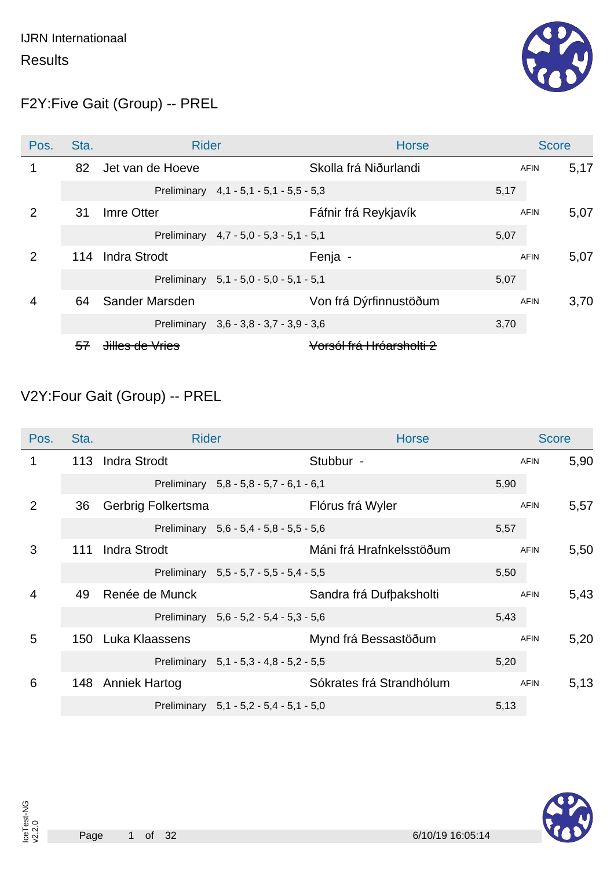

#### F2Y:Five Gait (Group) -- PREL

| Pos.           | Sta.          | <b>Rider</b>               |                                         | <b>Horse</b>             |      | <b>Score</b> |      |
|----------------|---------------|----------------------------|-----------------------------------------|--------------------------|------|--------------|------|
|                | 82            | Jet van de Hoeve           |                                         | Skolla frá Niðurlandi    |      | <b>AFIN</b>  | 5,17 |
|                |               |                            | Preliminary 4,1 - 5,1 - 5,1 - 5,5 - 5,3 |                          | 5,17 |              |      |
| $\overline{2}$ | 31            | Imre Otter                 |                                         | Fáfnir frá Reykjavík     |      | <b>AFIN</b>  | 5,07 |
|                |               |                            | Preliminary 4,7 - 5,0 - 5,3 - 5,1 - 5,1 |                          | 5,07 |              |      |
| 2              |               | 114 Indra Strodt           |                                         | Fenja -                  |      | <b>AFIN</b>  | 5,07 |
|                |               |                            | Preliminary 5,1 - 5,0 - 5,0 - 5,1 - 5,1 |                          | 5,07 |              |      |
| 4              | 64            | Sander Marsden             |                                         | Von frá Dýrfinnustöðum   |      | <b>AFIN</b>  | 3,70 |
|                |               |                            | Preliminary 3,6 - 3,8 - 3,7 - 3,9 - 3,6 |                          | 3,70 |              |      |
|                | <del>57</del> | <del>Jilles de Vries</del> |                                         | Vorsól frá Hróarsholti 2 |      |              |      |

### V2Y:Four Gait (Group) -- PREL

| Pos.           | Sta. | Rider                |                                           | <b>Horse</b>             |      | <b>Score</b> |      |
|----------------|------|----------------------|-------------------------------------------|--------------------------|------|--------------|------|
|                | 113  | <b>Indra Strodt</b>  |                                           | Stubbur -                |      | <b>AFIN</b>  | 5,90 |
|                |      |                      | Preliminary 5,8 - 5,8 - 5,7 - 6,1 - 6,1   |                          | 5,90 |              |      |
| $\overline{2}$ | 36   | Gerbrig Folkertsma   |                                           | Flórus frá Wyler         |      | <b>AFIN</b>  | 5,57 |
|                |      |                      | Preliminary 5,6 - 5,4 - 5,8 - 5,5 - 5,6   |                          | 5,57 |              |      |
| 3              | 111  | <b>Indra Strodt</b>  |                                           | Máni frá Hrafnkelsstöðum |      | <b>AFIN</b>  | 5,50 |
|                |      |                      | Preliminary 5,5 - 5,7 - 5,5 - 5,4 - 5,5   |                          | 5,50 |              |      |
| $\overline{4}$ | 49   | Renée de Munck       |                                           | Sandra frá Dufbaksholti  |      | <b>AFIN</b>  | 5,43 |
|                |      |                      | Preliminary 5,6 - 5,2 - 5,4 - 5,3 - 5,6   |                          | 5,43 |              |      |
| 5              |      | 150 Luka Klaassens   |                                           | Mynd frá Bessastöðum     |      | <b>AFIN</b>  | 5,20 |
|                |      |                      | Preliminary 5,1 - 5,3 - 4,8 - 5,2 - 5,5   |                          | 5,20 |              |      |
| 6              | 148  | <b>Anniek Hartog</b> |                                           | Sókrates frá Strandhólum |      | <b>AFIN</b>  | 5,13 |
|                |      |                      | Preliminary $5,1 - 5,2 - 5,4 - 5,1 - 5,0$ |                          | 5,13 |              |      |

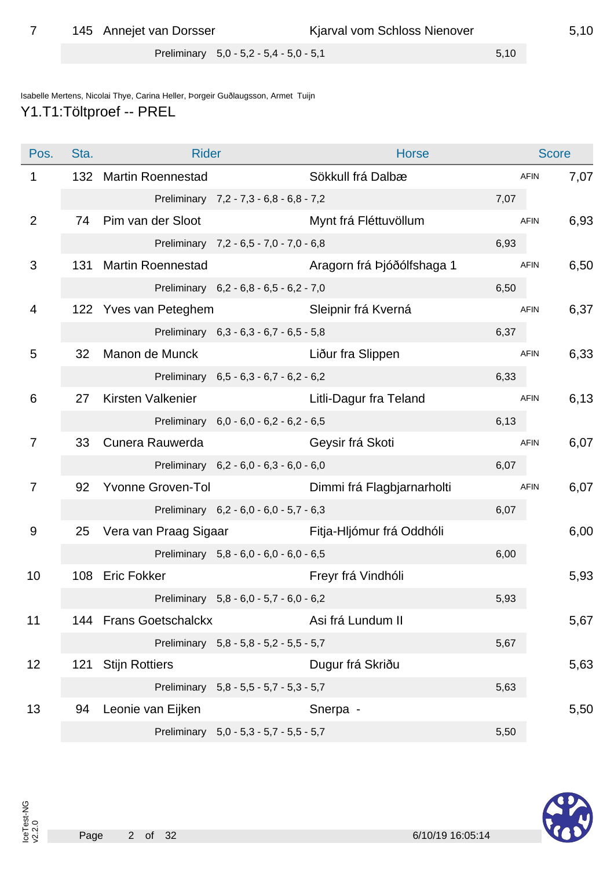7 145 Annejet van Dorsser Kjarval vom Schloss Nienover 5,10

Preliminary 5,0 - 5,2 - 5,4 - 5,0 - 5,1

Isabelle Mertens, Nicolai Thye, Carina Heller, Þorgeir Guðlaugsson, Armet Tuijn

#### Y1.T1:Töltproef -- PREL

| Pos.           | Sta. | <b>Rider</b>                              |                                         | <b>Horse</b>                                        |      | <b>Score</b> |      |
|----------------|------|-------------------------------------------|-----------------------------------------|-----------------------------------------------------|------|--------------|------|
| $\mathbf 1$    |      | 132 Martin Roennestad                     |                                         | Sökkull frá Dalbæ                                   |      | <b>AFIN</b>  | 7,07 |
|                |      |                                           | Preliminary 7,2 - 7,3 - 6,8 - 6,8 - 7,2 |                                                     | 7,07 |              |      |
| $\overline{2}$ |      | 74 Pim van der Sloot                      |                                         | Mynt frá Fléttuvöllum                               |      | AFIN         | 6,93 |
|                |      |                                           | Preliminary 7,2 - 6,5 - 7,0 - 7,0 - 6,8 |                                                     | 6,93 |              |      |
| 3              |      | 131 Martin Roennestad                     |                                         | Aragorn frá Þjóðólfshaga 1                          |      | <b>AFIN</b>  | 6,50 |
|                |      |                                           | Preliminary 6,2 - 6,8 - 6,5 - 6,2 - 7,0 |                                                     | 6,50 |              |      |
| 4              |      | 122 Yves van Peteghem Sleipnir frá Kverná |                                         |                                                     |      | <b>AFIN</b>  | 6,37 |
|                |      |                                           | Preliminary 6,3 - 6,3 - 6,7 - 6,5 - 5,8 |                                                     | 6,37 |              |      |
| 5              | 32   | Manon de Munck                            |                                         | Liður fra Slippen                                   |      | <b>AFIN</b>  | 6,33 |
|                |      |                                           | Preliminary 6,5 - 6,3 - 6,7 - 6,2 - 6,2 |                                                     | 6,33 |              |      |
| 6              | 27   | Kirsten Valkenier Manager and State       |                                         | Litli-Dagur fra Teland                              |      | <b>AFIN</b>  | 6,13 |
|                |      |                                           | Preliminary 6,0 - 6,0 - 6,2 - 6,2 - 6,5 |                                                     | 6,13 |              |      |
| 7              | 33   | Cunera Rauwerda <b>Election Cuneral</b>   |                                         | Geysir frá Skoti                                    |      | <b>AFIN</b>  | 6,07 |
|                |      |                                           | Preliminary 6,2 - 6,0 - 6,3 - 6,0 - 6,0 |                                                     | 6,07 |              |      |
| 7              | 92   |                                           |                                         | Yvonne Groven-Tol <b>Dimmi</b> frá Flagbjarnarholti |      | AFIN         | 6,07 |
|                |      |                                           | Preliminary 6,2 - 6,0 - 6,0 - 5,7 - 6,3 |                                                     | 6,07 |              |      |
| 9              | 25   |                                           |                                         | Vera van Praag Sigaar Fitja-Hljómur frá Oddhóli     |      |              | 6,00 |
|                |      |                                           | Preliminary 5,8 - 6,0 - 6,0 - 6,0 - 6,5 |                                                     | 6,00 |              |      |
| 10             |      | 108 Eric Fokker                           |                                         | Freyr frá Vindhóli                                  |      |              | 5,93 |
|                |      |                                           | Preliminary 5,8 - 6,0 - 5,7 - 6,0 - 6,2 |                                                     | 5,93 |              |      |
| 11             |      | 144 Frans Goetschalckx                    |                                         | Asi frá Lundum II                                   |      |              | 5,67 |
|                |      |                                           | Preliminary 5,8 - 5,8 - 5,2 - 5,5 - 5,7 |                                                     | 5,67 |              |      |
| 12             | 121  | <b>Stijn Rottiers</b>                     |                                         | Dugur frá Skriðu                                    |      |              | 5,63 |
|                |      |                                           | Preliminary 5,8 - 5,5 - 5,7 - 5,3 - 5,7 |                                                     | 5,63 |              |      |
| 13             | 94   | Leonie van Eijken                         |                                         | Snerpa -                                            |      |              | 5,50 |
|                |      |                                           | Preliminary 5,0 - 5,3 - 5,7 - 5,5 - 5,7 |                                                     | 5,50 |              |      |

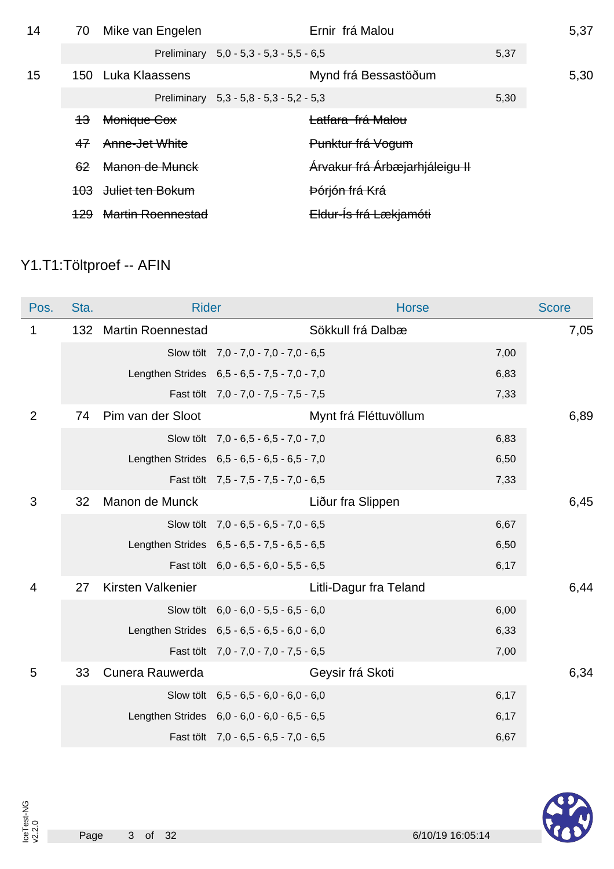| 14 | 70             | Mike van Engelen         |                                         | Ernir frá Malou                |      | 5,37 |
|----|----------------|--------------------------|-----------------------------------------|--------------------------------|------|------|
|    |                |                          | Preliminary 5,0 - 5,3 - 5,3 - 5,5 - 6,5 |                                | 5,37 |      |
| 15 |                | 150 Luka Klaassens       |                                         | Mynd frá Bessastöðum           |      | 5,30 |
|    |                |                          | Preliminary 5,3 - 5,8 - 5,3 - 5,2 - 5,3 |                                | 5,30 |      |
|    | <del>13</del>  | Monique Cox              |                                         | <del>Latfara frá Malou</del>   |      |      |
|    | 47             | Anne-Jet White           |                                         | Punktur frá Vogum              |      |      |
|    | 62             | Manon de Munck           |                                         | Árvakur frá Árbæjarhjáleigu II |      |      |
|    |                | 103 Juliet ten Bokum     |                                         | <del>Þórjón frá Krá</del>      |      |      |
|    | <del>129</del> | <b>Martin Roennestad</b> |                                         | Eldur-Ís frá Lækjamóti         |      |      |

### Y1.T1:Töltproef -- AFIN

| Pos.           | Sta. | <b>Rider</b>             |                                              |                        | <b>Horse</b> |      | <b>Score</b> |
|----------------|------|--------------------------|----------------------------------------------|------------------------|--------------|------|--------------|
| 1              | 132  | <b>Martin Roennestad</b> |                                              | Sökkull frá Dalbæ      |              |      | 7,05         |
|                |      |                          | Slow tölt 7,0 - 7,0 - 7,0 - 7,0 - 6,5        |                        |              | 7,00 |              |
|                |      |                          | Lengthen Strides 6,5 - 6,5 - 7,5 - 7,0 - 7,0 |                        |              | 6,83 |              |
|                |      |                          | Fast tölt 7,0 - 7,0 - 7,5 - 7,5 - 7,5        |                        |              | 7,33 |              |
| $\overline{2}$ | 74   | Pim van der Sloot        |                                              | Mynt frá Fléttuvöllum  |              |      | 6,89         |
|                |      |                          | Slow tölt 7,0 - 6,5 - 6,5 - 7,0 - 7,0        |                        |              | 6,83 |              |
|                |      |                          | Lengthen Strides 6,5 - 6,5 - 6,5 - 6,5 - 7,0 |                        |              | 6,50 |              |
|                |      |                          | Fast tölt 7,5 - 7,5 - 7,5 - 7,0 - 6,5        |                        |              | 7,33 |              |
| 3              | 32   | Manon de Munck           |                                              | Liður fra Slippen      |              |      | 6,45         |
|                |      |                          | Slow tölt 7,0 - 6,5 - 6,5 - 7,0 - 6,5        |                        |              | 6,67 |              |
|                |      |                          | Lengthen Strides 6,5 - 6,5 - 7,5 - 6,5 - 6,5 |                        |              | 6,50 |              |
|                |      |                          | Fast tölt 6,0 - 6,5 - 6,0 - 5,5 - 6,5        |                        |              | 6,17 |              |
| 4              | 27   | Kirsten Valkenier        |                                              | Litli-Dagur fra Teland |              |      | 6,44         |
|                |      |                          | Slow tölt 6,0 - 6,0 - 5,5 - 6,5 - 6,0        |                        |              | 6,00 |              |
|                |      |                          | Lengthen Strides 6,5 - 6,5 - 6,5 - 6,0 - 6,0 |                        |              | 6,33 |              |
|                |      |                          | Fast tölt 7,0 - 7,0 - 7,0 - 7,5 - 6,5        |                        |              | 7,00 |              |
| 5              | 33   | Cunera Rauwerda          |                                              | Geysir frá Skoti       |              |      | 6,34         |
|                |      |                          | Slow tölt 6,5 - 6,5 - 6,0 - 6,0 - 6,0        |                        |              | 6,17 |              |
|                |      |                          | Lengthen Strides 6,0 - 6,0 - 6,0 - 6,5 - 6,5 |                        |              | 6,17 |              |
|                |      |                          | Fast tölt 7,0 - 6,5 - 6,5 - 7,0 - 6,5        |                        |              | 6,67 |              |

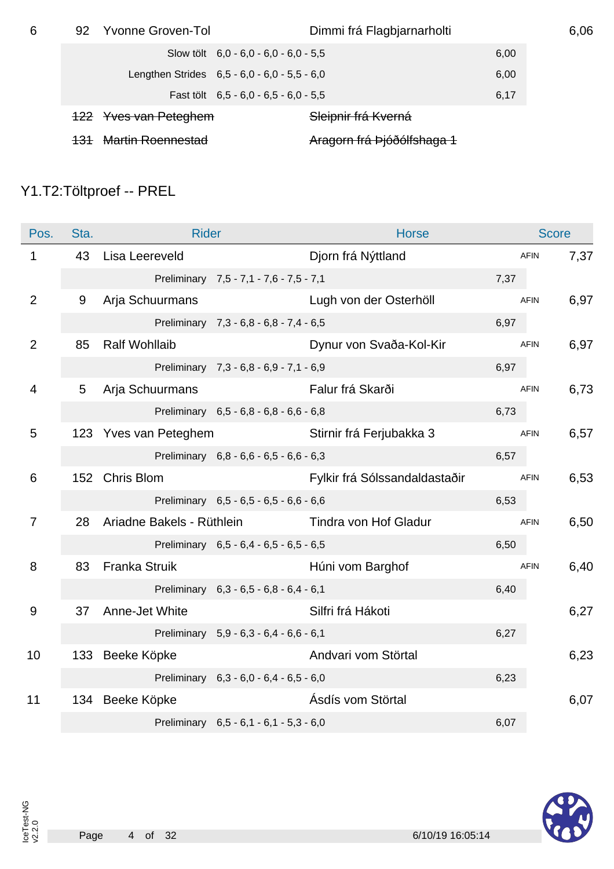| 6 | 92 | <b>Yvonne Groven-Tol</b>     |                                              | Dimmi frá Flagbjarnarholti |      | 6,06 |
|---|----|------------------------------|----------------------------------------------|----------------------------|------|------|
|   |    |                              | Slow tölt $6.0 - 6.0 - 6.0 - 6.0 - 5.5$      |                            | 6,00 |      |
|   |    |                              | Lengthen Strides 6,5 - 6,0 - 6,0 - 5,5 - 6,0 |                            | 6,00 |      |
|   |    |                              | Fast tölt $6.5 - 6.0 - 6.5 - 6.0 - 5.5$      |                            | 6,17 |      |
|   |    | 122 Yves van Peteghem        |                                              | Sleipnir frá Kverná        |      |      |
|   |    | <del>Martin Roennestad</del> |                                              | Aragorn frá Þjóðólfshaga 1 |      |      |

## Y1.T2:Töltproef -- PREL

| Pos.           | Sta.            | <b>Rider</b>         |                                         | <b>Horse</b>                                    |      | <b>Score</b> |      |
|----------------|-----------------|----------------------|-----------------------------------------|-------------------------------------------------|------|--------------|------|
| $\mathbf{1}$   | 43              | Lisa Leereveld       |                                         | Djorn frá Nýttland                              |      | <b>AFIN</b>  | 7,37 |
|                |                 |                      | Preliminary 7,5 - 7,1 - 7,6 - 7,5 - 7,1 |                                                 | 7,37 |              |      |
| $\overline{2}$ | 9               | Arja Schuurmans      |                                         | Lugh von der Osterhöll                          |      | <b>AFIN</b>  | 6,97 |
|                |                 |                      | Preliminary 7,3 - 6,8 - 6,8 - 7,4 - 6,5 |                                                 | 6,97 |              |      |
| $\overline{2}$ | 85              | <b>Ralf Wohllaib</b> |                                         | Dynur von Svaða-Kol-Kir                         |      | <b>AFIN</b>  | 6,97 |
|                |                 |                      | Preliminary 7,3 - 6,8 - 6,9 - 7,1 - 6,9 |                                                 | 6,97 |              |      |
| 4              | $5\overline{)}$ | Arja Schuurmans      |                                         | Falur frá Skarði                                |      | <b>AFIN</b>  | 6,73 |
|                |                 |                      | Preliminary 6,5 - 6,8 - 6,8 - 6,6 - 6,8 |                                                 | 6,73 |              |      |
| 5              |                 |                      |                                         | 123 Yves van Peteghem Stirnir frá Ferjubakka 3  |      | <b>AFIN</b>  | 6,57 |
|                |                 |                      | Preliminary 6,8 - 6,6 - 6,5 - 6,6 - 6,3 |                                                 | 6,57 |              |      |
| 6              |                 | 152 Chris Blom       |                                         | Fylkir frá Sólssandaldastaðir                   |      | <b>AFIN</b>  | 6,53 |
|                |                 |                      | Preliminary 6,5 - 6,5 - 6,5 - 6,6 - 6,6 |                                                 | 6,53 |              |      |
| $\overline{7}$ | 28              |                      |                                         | Ariadne Bakels - Rüthlein Tindra von Hof Gladur |      | <b>AFIN</b>  | 6,50 |
|                |                 |                      | Preliminary 6,5 - 6,4 - 6,5 - 6,5 - 6,5 |                                                 | 6,50 |              |      |
| 8              | 83              | Franka Struik        |                                         | Húni vom Barghof                                |      | <b>AFIN</b>  | 6,40 |
|                |                 |                      | Preliminary 6,3 - 6,5 - 6,8 - 6,4 - 6,1 |                                                 | 6,40 |              |      |
| 9              | 37              | Anne-Jet White       |                                         | Silfri frá Hákoti                               |      |              | 6,27 |
|                |                 |                      | Preliminary 5,9 - 6,3 - 6,4 - 6,6 - 6,1 |                                                 | 6,27 |              |      |
| 10             |                 | 133 Beeke Köpke      |                                         | Andvari vom Störtal                             |      |              | 6,23 |
|                |                 |                      | Preliminary 6,3 - 6,0 - 6,4 - 6,5 - 6,0 |                                                 | 6,23 |              |      |
| 11             |                 | 134 Beeke Köpke      |                                         | Ásdís vom Störtal                               |      |              | 6,07 |
|                |                 |                      | Preliminary 6,5 - 6,1 - 6,1 - 5,3 - 6,0 |                                                 | 6,07 |              |      |

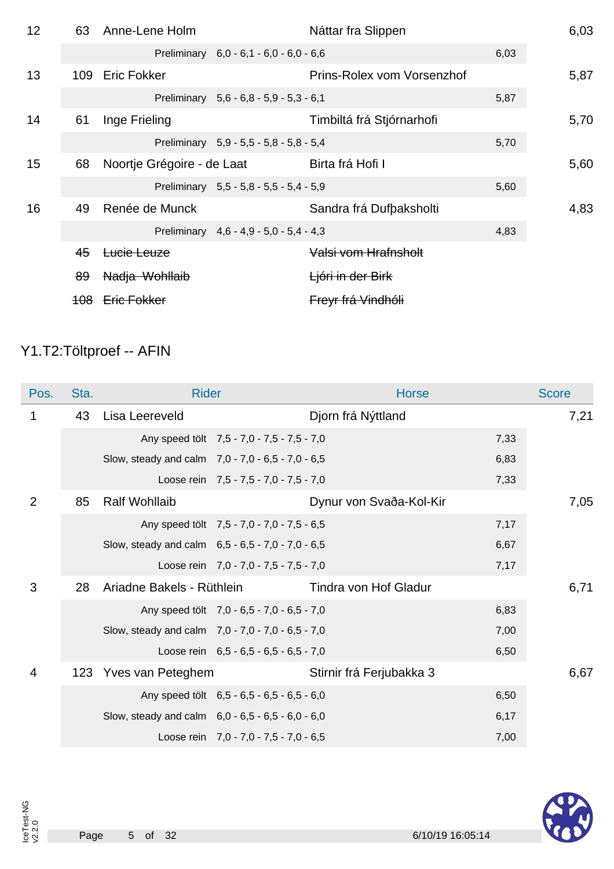| 12 | 63             | Anne-Lene Holm                              |                                         | Náttar fra Slippen         |      | 6,03 |
|----|----------------|---------------------------------------------|-----------------------------------------|----------------------------|------|------|
|    |                |                                             | Preliminary 6,0 - 6,1 - 6,0 - 6,0 - 6,6 |                            | 6,03 |      |
| 13 |                | 109 Eric Fokker                             |                                         | Prins-Rolex vom Vorsenzhof |      | 5,87 |
|    |                |                                             | Preliminary 5,6 - 6,8 - 5,9 - 5,3 - 6,1 |                            | 5,87 |      |
| 14 | 61             | Inge Frieling                               |                                         | Timbiltá frá Stjórnarhofi  |      | 5,70 |
|    |                |                                             | Preliminary 5,9 - 5,5 - 5,8 - 5,8 - 5,4 |                            | 5,70 |      |
| 15 | 68             | Noortje Grégoire - de Laat Birta frá Hofi I |                                         |                            |      | 5,60 |
|    |                |                                             | Preliminary 5,5 - 5,8 - 5,5 - 5,4 - 5,9 |                            | 5,60 |      |
| 16 | 49             | Renée de Munck                              |                                         | Sandra frá Dufbaksholti    |      | 4,83 |
|    |                |                                             | Preliminary 4,6 - 4,9 - 5,0 - 5,4 - 4,3 |                            | 4,83 |      |
|    | 45             | Lucie Leuze                                 |                                         | Valsi vom Hrafnsholt       |      |      |
|    | 89             | Nadja Wohllaib                              |                                         | Ljóri in der Birk          |      |      |
|    | <del>108</del> | Eric Fokker                                 |                                         | Freyr frá Vindhóli         |      |      |
|    |                |                                             |                                         |                            |      |      |

## Y1.T2:Töltproef -- AFIN

| Pos. | Sta. | <b>Rider</b>                                      |                                            | <b>Horse</b>             |      | <b>Score</b> |
|------|------|---------------------------------------------------|--------------------------------------------|--------------------------|------|--------------|
| 1    | 43   | Lisa Leereveld                                    |                                            | Djorn frá Nýttland       |      | 7,21         |
|      |      |                                                   | Any speed tölt 7,5 - 7,0 - 7,5 - 7,5 - 7,0 |                          | 7,33 |              |
|      |      | Slow, steady and calm 7,0 - 7,0 - 6,5 - 7,0 - 6,5 |                                            |                          | 6,83 |              |
|      |      |                                                   | Loose rein 7,5 - 7,5 - 7,0 - 7,5 - 7,0     |                          | 7,33 |              |
| 2    | 85   | <b>Ralf Wohllaib</b>                              |                                            | Dynur von Svaða-Kol-Kir  |      | 7,05         |
|      |      |                                                   | Any speed tölt 7,5 - 7,0 - 7,0 - 7,5 - 6,5 |                          | 7,17 |              |
|      |      | Slow, steady and calm 6,5 - 6,5 - 7,0 - 7,0 - 6,5 |                                            |                          | 6,67 |              |
|      |      |                                                   | Loose rein 7,0 - 7,0 - 7,5 - 7,5 - 7,0     |                          | 7,17 |              |
| 3    | 28   | Ariadne Bakels - Rüthlein                         |                                            | Tindra von Hof Gladur    |      | 6,71         |
|      |      |                                                   | Any speed tölt 7,0 - 6,5 - 7,0 - 6,5 - 7,0 |                          | 6,83 |              |
|      |      | Slow, steady and calm 7,0 - 7,0 - 7,0 - 6,5 - 7,0 |                                            |                          | 7,00 |              |
|      |      |                                                   | Loose rein 6,5 - 6,5 - 6,5 - 6,5 - 7,0     |                          | 6,50 |              |
| 4    |      | 123 Yves van Peteghem                             |                                            | Stirnir frá Ferjubakka 3 |      | 6,67         |
|      |      |                                                   | Any speed tölt 6,5 - 6,5 - 6,5 - 6,5 - 6,0 |                          | 6,50 |              |
|      |      | Slow, steady and calm 6,0 - 6,5 - 6,5 - 6,0 - 6,0 |                                            |                          | 6,17 |              |
|      |      |                                                   | Loose rein 7,0 - 7,0 - 7,5 - 7,0 - 6,5     |                          | 7,00 |              |

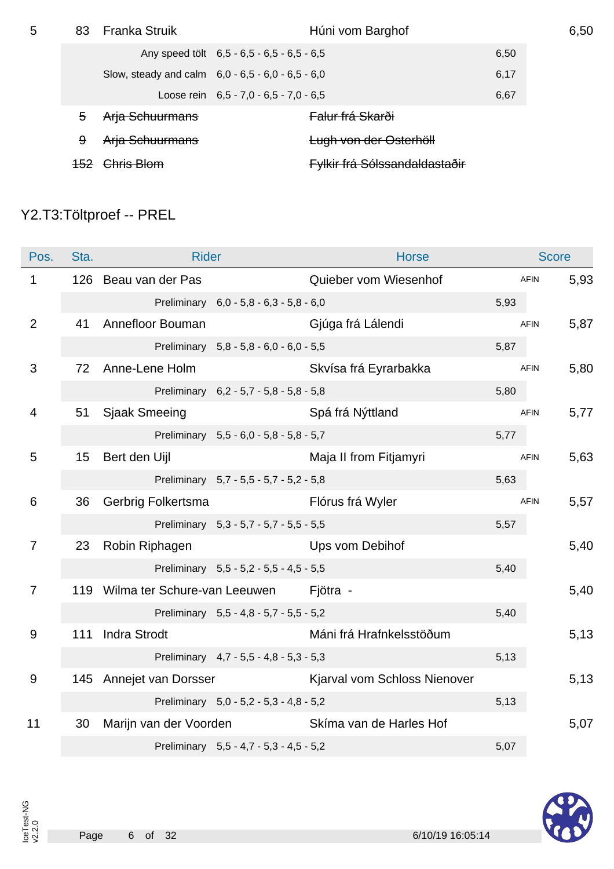| 5 | 83 | <b>Franka Struik</b>                                |                                            | Húni vom Barghof              |      |  |
|---|----|-----------------------------------------------------|--------------------------------------------|-------------------------------|------|--|
|   |    |                                                     | Any speed tölt 6,5 - 6,5 - 6,5 - 6,5 - 6,5 |                               | 6,50 |  |
|   |    | Slow, steady and calm $6,0 - 6,5 - 6,0 - 6,5 - 6,0$ |                                            |                               | 6,17 |  |
|   |    |                                                     | Loose rein $6,5 - 7,0 - 6,5 - 7,0 - 6,5$   |                               | 6,67 |  |
|   | 5  | Arja Schuurmans                                     |                                            | <del>Falur frá Skarði</del>   |      |  |
|   | 9  | <b>Arja Schuurmans</b>                              |                                            | Lugh von der Osterhöll        |      |  |
|   |    | Chris Blom                                          |                                            | Fylkir frá Sólssandaldastaðir |      |  |

# Y2.T3:Töltproef -- PREL

| Pos.             | Sta. | <b>Rider</b>                              |                                         | <b>Horse</b>                                   |      | <b>Score</b> |      |
|------------------|------|-------------------------------------------|-----------------------------------------|------------------------------------------------|------|--------------|------|
| $\mathbf{1}$     |      | 126 Beau van der Pas                      |                                         | Quieber vom Wiesenhof                          |      | <b>AFIN</b>  | 5,93 |
|                  |      |                                           | Preliminary 6,0 - 5,8 - 6,3 - 5,8 - 6,0 |                                                | 5,93 |              |      |
| 2                | 41   | Annefloor Bouman                          |                                         | Gjúga frá Lálendi                              |      | <b>AFIN</b>  | 5,87 |
|                  |      |                                           | Preliminary 5,8 - 5,8 - 6,0 - 6,0 - 5,5 |                                                | 5,87 |              |      |
| 3                | 72   | Anne-Lene Holm                            |                                         | Skvísa frá Eyrarbakka                          |      | <b>AFIN</b>  | 5,80 |
|                  |      |                                           | Preliminary 6,2 - 5,7 - 5,8 - 5,8 - 5,8 |                                                | 5,80 |              |      |
| $\overline{4}$   | 51   | Sjaak Smeeing                             |                                         | Spá frá Nýttland                               |      | <b>AFIN</b>  | 5,77 |
|                  |      |                                           | Preliminary 5,5 - 6,0 - 5,8 - 5,8 - 5,7 |                                                | 5,77 |              |      |
| $5\phantom{.0}$  | 15   | Bert den Uijl                             |                                         | Maja II from Fitjamyri                         |      | <b>AFIN</b>  | 5,63 |
|                  |      |                                           | Preliminary 5,7 - 5,5 - 5,7 - 5,2 - 5,8 |                                                | 5,63 |              |      |
| 6                | 36   | Gerbrig Folkertsma                        |                                         | Flórus frá Wyler                               |      | <b>AFIN</b>  | 5,57 |
|                  |      |                                           | Preliminary 5,3 - 5,7 - 5,7 - 5,5 - 5,5 |                                                | 5,57 |              |      |
| $\overline{7}$   | 23   | Robin Riphagen                            |                                         | Ups vom Debihof                                |      |              | 5,40 |
|                  |      |                                           | Preliminary 5,5 - 5,2 - 5,5 - 4,5 - 5,5 |                                                | 5,40 |              |      |
| $\overline{7}$   |      | 119 Wilma ter Schure-van Leeuwen Fjötra - |                                         |                                                |      |              | 5,40 |
|                  |      |                                           | Preliminary 5,5 - 4,8 - 5,7 - 5,5 - 5,2 |                                                | 5,40 |              |      |
| 9                | 111  | <b>Indra Strodt</b>                       |                                         | Máni frá Hrafnkelsstöðum                       |      |              | 5,13 |
|                  |      |                                           | Preliminary 4,7 - 5,5 - 4,8 - 5,3 - 5,3 |                                                | 5,13 |              |      |
| $\boldsymbol{9}$ |      | 145 Annejet van Dorsser                   |                                         | Kjarval vom Schloss Nienover                   |      |              | 5,13 |
|                  |      |                                           | Preliminary 5,0 - 5,2 - 5,3 - 4,8 - 5,2 |                                                | 5,13 |              |      |
| 11               | 30   |                                           |                                         | Marijn van der Voorden Skíma van de Harles Hof |      |              | 5,07 |
|                  |      |                                           | Preliminary 5,5 - 4,7 - 5,3 - 4,5 - 5,2 |                                                | 5,07 |              |      |

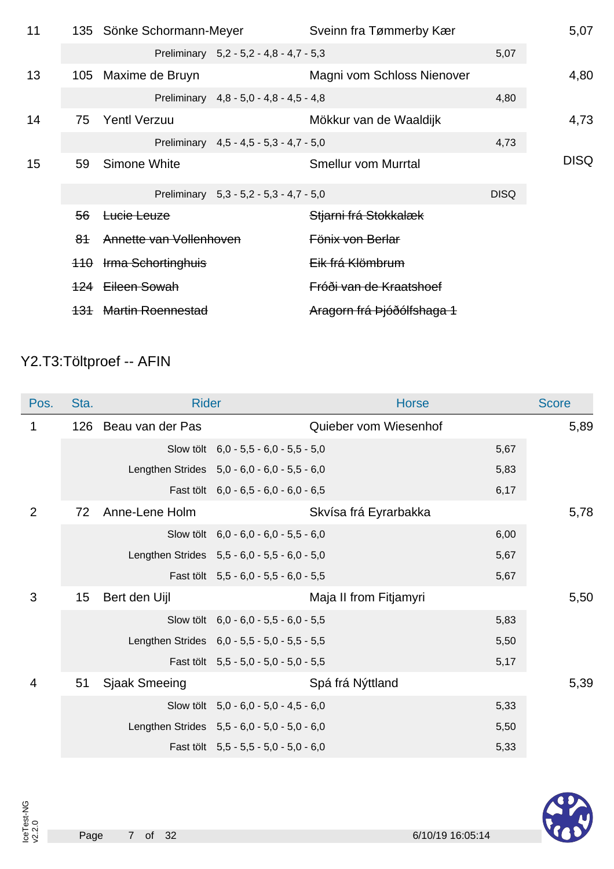| 11 |    | 135 Sönke Schormann-Meyer    |                                         | Sveinn fra Tømmerby Kær    |             | 5,07        |
|----|----|------------------------------|-----------------------------------------|----------------------------|-------------|-------------|
|    |    |                              | Preliminary 5,2 - 5,2 - 4,8 - 4,7 - 5,3 |                            | 5,07        |             |
| 13 |    | 105 Maxime de Bruyn          |                                         | Magni vom Schloss Nienover |             | 4,80        |
|    |    |                              | Preliminary 4,8 - 5,0 - 4,8 - 4,5 - 4,8 |                            | 4,80        |             |
| 14 | 75 | <b>Yentl Verzuu</b>          |                                         | Mökkur van de Waaldijk     |             | 4,73        |
|    |    |                              | Preliminary 4,5 - 4,5 - 5,3 - 4,7 - 5,0 |                            | 4,73        |             |
| 15 | 59 | Simone White                 |                                         | <b>Smellur vom Murrtal</b> |             | <b>DISQ</b> |
|    |    |                              | Preliminary 5,3 - 5,2 - 5,3 - 4,7 - 5,0 |                            | <b>DISQ</b> |             |
|    | 56 | Lucie Leuze                  |                                         | Stjarni frá Stokkalæk      |             |             |
|    | 81 | Annette van Vollenhoven      |                                         | Fönix von Berlar           |             |             |
|    |    | 110 Irma Schortinghuis       |                                         | Eik frá Klömbrum           |             |             |
|    |    | 124 Eileen Sowah             |                                         | Fróði van de Kraatshoef    |             |             |
|    |    | <b>131 Martin Roennestad</b> |                                         | Aragorn frá Þjóðólfshaga 1 |             |             |
|    |    |                              |                                         |                            |             |             |

## Y2.T3:Töltproef -- AFIN

| Pos. | Sta. | <b>Rider</b>         |                                              | <b>Horse</b>           |      | <b>Score</b> |
|------|------|----------------------|----------------------------------------------|------------------------|------|--------------|
| 1    |      | 126 Beau van der Pas |                                              | Quieber vom Wiesenhof  |      | 5,89         |
|      |      |                      | Slow tölt $6,0 - 5,5 - 6,0 - 5,5 - 5,0$      |                        | 5,67 |              |
|      |      |                      | Lengthen Strides 5,0 - 6,0 - 6,0 - 5,5 - 6,0 |                        | 5,83 |              |
|      |      |                      | Fast tölt 6,0 - 6,5 - 6,0 - 6,0 - 6,5        |                        | 6,17 |              |
| 2    | 72   | Anne-Lene Holm       |                                              | Skvísa frá Eyrarbakka  |      | 5,78         |
|      |      |                      | Slow tölt 6,0 - 6,0 - 6,0 - 5,5 - 6,0        |                        | 6,00 |              |
|      |      |                      | Lengthen Strides 5,5 - 6,0 - 5,5 - 6,0 - 5,0 |                        | 5,67 |              |
|      |      |                      | Fast tölt 5,5 - 6,0 - 5,5 - 6,0 - 5,5        |                        | 5,67 |              |
| 3    | 15   | Bert den Uijl        |                                              | Maja II from Fitjamyri |      | 5,50         |
|      |      |                      | Slow tölt 6,0 - 6,0 - 5,5 - 6,0 - 5,5        |                        | 5,83 |              |
|      |      |                      | Lengthen Strides 6,0 - 5,5 - 5,0 - 5,5 - 5,5 |                        | 5,50 |              |
|      |      |                      | Fast tölt 5,5 - 5,0 - 5,0 - 5,0 - 5,5        |                        | 5,17 |              |
| 4    | 51   | Sjaak Smeeing        |                                              | Spá frá Nýttland       |      | 5,39         |
|      |      |                      | Slow tölt 5,0 - 6,0 - 5,0 - 4,5 - 6,0        |                        | 5,33 |              |
|      |      |                      | Lengthen Strides 5,5 - 6,0 - 5,0 - 5,0 - 6,0 |                        | 5,50 |              |
|      |      |                      | Fast tölt 5,5 - 5,5 - 5,0 - 5,0 - 6,0        |                        | 5,33 |              |

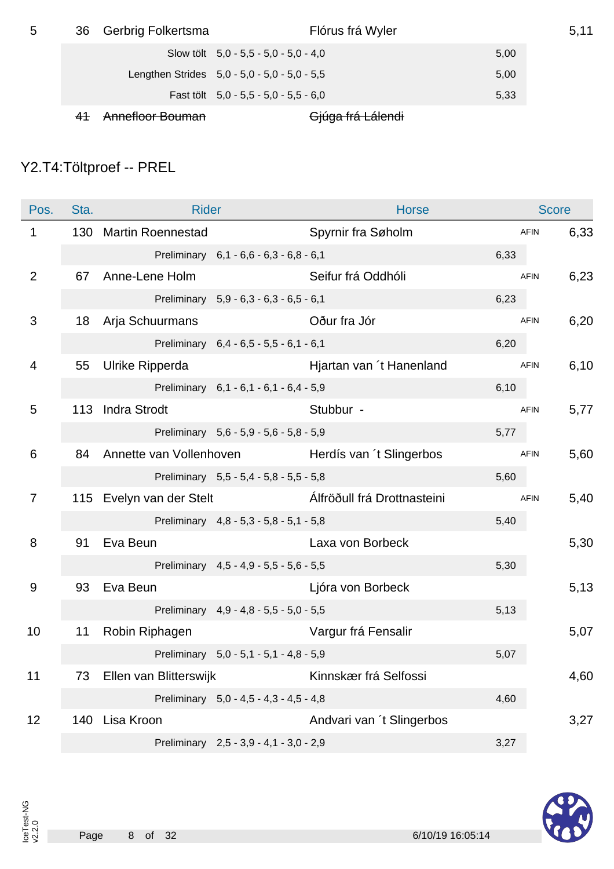| 5 | 36 | Gerbrig Folkertsma |                                              | Flórus frá Wyler             |      | 5,11 |
|---|----|--------------------|----------------------------------------------|------------------------------|------|------|
|   |    |                    | Slow tölt $5,0 - 5,5 - 5,0 - 5,0 - 4,0$      |                              | 5,00 |      |
|   |    |                    | Lengthen Strides 5,0 - 5,0 - 5,0 - 5,0 - 5,5 |                              | 5,00 |      |
|   |    |                    | Fast tölt $5.0 - 5.5 - 5.0 - 5.5 - 6.0$      |                              | 5,33 |      |
|   |    | Annefloor Bouman   |                                              | <del>Gjúga frá Lálendi</del> |      |      |

### Y2.T4:Töltproef -- PREL

| Pos.           | Sta. | <b>Rider</b>             |                                         | <b>Horse</b>                                     |      | <b>Score</b> |      |
|----------------|------|--------------------------|-----------------------------------------|--------------------------------------------------|------|--------------|------|
| 1              |      | 130 Martin Roennestad    |                                         | Spyrnir fra Søholm                               |      | <b>AFIN</b>  | 6,33 |
|                |      |                          | Preliminary 6,1 - 6,6 - 6,3 - 6,8 - 6,1 |                                                  | 6,33 |              |      |
| $\overline{2}$ | 67   | Anne-Lene Holm           |                                         | Seifur frá Oddhóli                               |      | <b>AFIN</b>  | 6,23 |
|                |      |                          | Preliminary 5,9 - 6,3 - 6,3 - 6,5 - 6,1 |                                                  | 6,23 |              |      |
| 3              | 18   | Arja Schuurmans          |                                         | Oður fra Jór                                     |      | <b>AFIN</b>  | 6,20 |
|                |      |                          | Preliminary 6,4 - 6,5 - 5,5 - 6,1 - 6,1 |                                                  | 6,20 |              |      |
| 4              | 55   | Ulrike Ripperda          |                                         | Hjartan van 't Hanenland                         |      | <b>AFIN</b>  | 6,10 |
|                |      |                          | Preliminary 6,1 - 6,1 - 6,1 - 6,4 - 5,9 |                                                  | 6,10 |              |      |
| 5              | 113  | <b>Indra Strodt</b>      |                                         | Stubbur -                                        |      | <b>AFIN</b>  | 5,77 |
|                |      |                          | Preliminary 5,6 - 5,9 - 5,6 - 5,8 - 5,9 |                                                  | 5,77 |              |      |
| 6              | 84   |                          |                                         | Annette van Vollenhoven Herdís van 't Slingerbos |      | <b>AFIN</b>  | 5,60 |
|                |      |                          | Preliminary 5,5 - 5,4 - 5,8 - 5,5 - 5,8 |                                                  | 5,60 |              |      |
| $\overline{7}$ |      | 115 Evelyn van der Stelt |                                         | Álfröðull frá Drottnasteini                      |      | <b>AFIN</b>  | 5,40 |
|                |      |                          | Preliminary 4,8 - 5,3 - 5,8 - 5,1 - 5,8 |                                                  | 5,40 |              |      |
| 8              | 91   | Eva Beun                 |                                         | Laxa von Borbeck                                 |      |              | 5,30 |
|                |      |                          | Preliminary 4,5 - 4,9 - 5,5 - 5,6 - 5,5 |                                                  | 5,30 |              |      |
| 9              | 93   | Eva Beun                 |                                         | Ljóra von Borbeck                                |      |              | 5,13 |
|                |      |                          | Preliminary 4,9 - 4,8 - 5,5 - 5,0 - 5,5 |                                                  | 5,13 |              |      |
| 10             | 11   | Robin Riphagen           |                                         | Vargur frá Fensalir                              |      |              | 5,07 |
|                |      |                          | Preliminary 5,0 - 5,1 - 5,1 - 4,8 - 5,9 |                                                  | 5,07 |              |      |
| 11             | 73   | Ellen van Blitterswijk   |                                         | Kinnskær frá Selfossi                            |      |              | 4,60 |
|                |      |                          | Preliminary 5,0 - 4,5 - 4,3 - 4,5 - 4,8 |                                                  | 4,60 |              |      |
| 12             | 140  | Lisa Kroon               |                                         | Andvari van 't Slingerbos                        |      |              | 3,27 |
|                |      |                          | Preliminary 2,5 - 3,9 - 4,1 - 3,0 - 2,9 |                                                  | 3,27 |              |      |

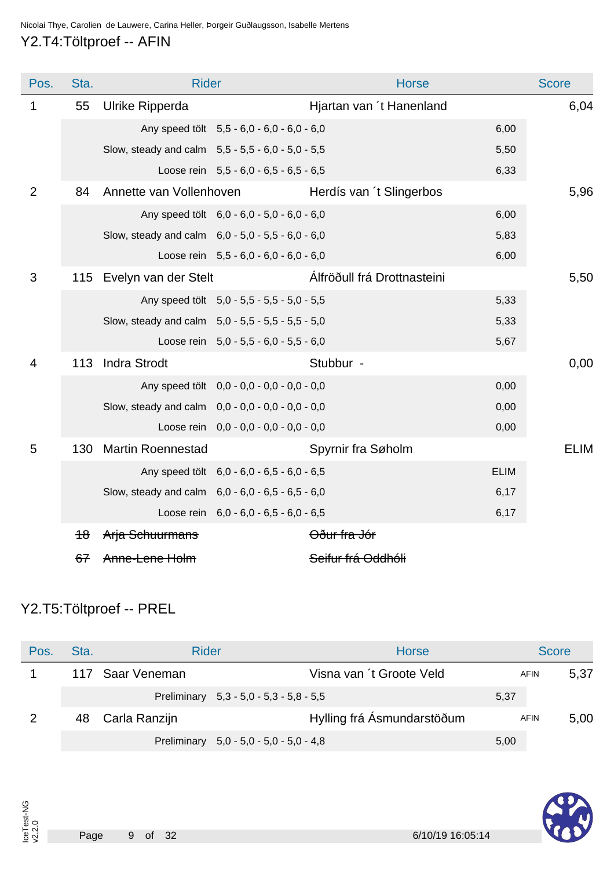#### Nicolai Thye, Carolien de Lauwere, Carina Heller, Þorgeir Guðlaugsson, Isabelle Mertens

#### Y2.T4:Töltproef -- AFIN

| Pos.           | Sta. | <b>Rider</b>                                        |                                            | <b>Horse</b>                |             | <b>Score</b> |
|----------------|------|-----------------------------------------------------|--------------------------------------------|-----------------------------|-------------|--------------|
| $\mathbf 1$    | 55   | Ulrike Ripperda                                     |                                            | Hjartan van 't Hanenland    |             | 6,04         |
|                |      |                                                     | Any speed tölt 5,5 - 6,0 - 6,0 - 6,0 - 6,0 |                             | 6,00        |              |
|                |      | Slow, steady and calm 5,5 - 5,5 - 6,0 - 5,0 - 5,5   |                                            |                             | 5,50        |              |
|                |      |                                                     | Loose rein $5,5 - 6,0 - 6,5 - 6,5 - 6,5$   |                             | 6,33        |              |
| $\overline{2}$ | 84   | Annette van Vollenhoven                             |                                            | Herdís van 't Slingerbos    |             | 5,96         |
|                |      |                                                     | Any speed tölt 6,0 - 6,0 - 5,0 - 6,0 - 6,0 |                             | 6,00        |              |
|                |      | Slow, steady and calm 6,0 - 5,0 - 5,5 - 6,0 - 6,0   |                                            |                             | 5,83        |              |
|                |      |                                                     | Loose rein $5,5 - 6,0 - 6,0 - 6,0 - 6,0$   |                             | 6,00        |              |
| 3              | 115  | Evelyn van der Stelt                                |                                            | Álfröðull frá Drottnasteini |             | 5,50         |
|                |      |                                                     | Any speed tölt 5,0 - 5,5 - 5,5 - 5,0 - 5,5 |                             | 5,33        |              |
|                |      | Slow, steady and calm 5,0 - 5,5 - 5,5 - 5,5 - 5,0   |                                            |                             | 5,33        |              |
|                |      |                                                     | Loose rein $5,0 - 5,5 - 6,0 - 5,5 - 6,0$   |                             | 5,67        |              |
| 4              | 113  | <b>Indra Strodt</b>                                 |                                            | Stubbur -                   |             | 0,00         |
|                |      |                                                     | Any speed tölt 0,0 - 0,0 - 0,0 - 0,0 - 0,0 |                             | 0,00        |              |
|                |      | Slow, steady and calm $0,0 - 0,0 - 0,0 - 0,0 - 0,0$ |                                            |                             | 0,00        |              |
|                |      |                                                     | Loose rein 0,0 - 0,0 - 0,0 - 0,0 - 0,0     |                             | 0,00        |              |
| 5              | 130  | <b>Martin Roennestad</b>                            |                                            | Spyrnir fra Søholm          |             | <b>ELIM</b>  |
|                |      |                                                     | Any speed tölt 6,0 - 6,0 - 6,5 - 6,0 - 6,5 |                             | <b>ELIM</b> |              |
|                |      | Slow, steady and calm 6,0 - 6,0 - 6,5 - 6,5 - 6,0   |                                            |                             | 6,17        |              |
|                |      |                                                     | Loose rein $6,0 - 6,0 - 6,5 - 6,0 - 6,5$   |                             | 6,17        |              |
|                | 48   | Arja Schuurmans                                     |                                            | Oður fra Jór                |             |              |
|                | 67   | Anne-Lene Holm                                      |                                            | Seifur frá Oddhóli          |             |              |

#### Y2.T5:Töltproef -- PREL

| Pos. | Sta. | <b>Rider</b>     |                                         | <b>Horse</b>               |             | <b>Score</b> |
|------|------|------------------|-----------------------------------------|----------------------------|-------------|--------------|
|      |      | 117 Saar Veneman |                                         | Visna van 't Groote Veld   | <b>AFIN</b> | 5,37         |
|      |      |                  | Preliminary 5,3 - 5,0 - 5,3 - 5,8 - 5,5 |                            | 5,37        |              |
| 2    |      | 48 Carla Ranzijn |                                         | Hylling frá Ásmundarstöðum | <b>AFIN</b> | 5,00         |
|      |      |                  | Preliminary 5,0 - 5,0 - 5,0 - 5,0 - 4,8 |                            | 5,00        |              |

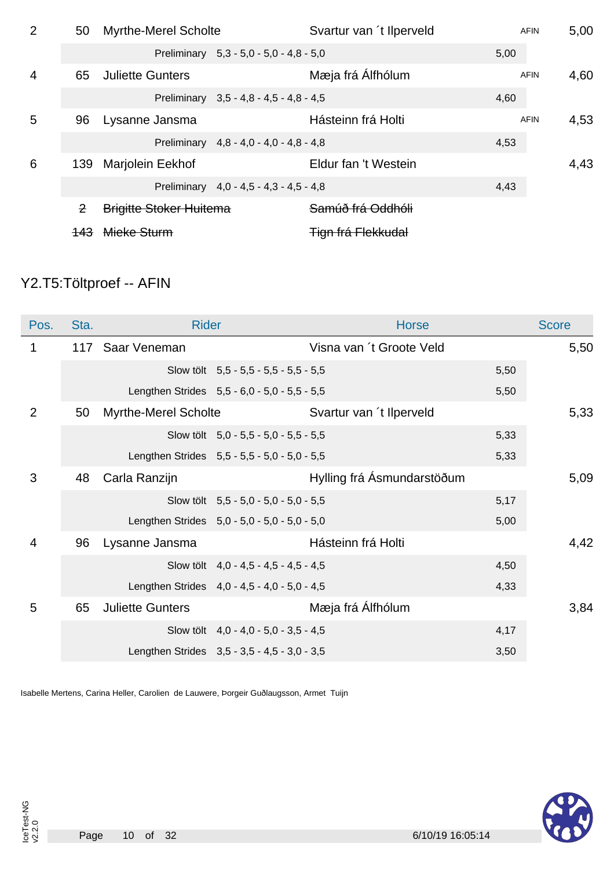| 2              | 50           | <b>Myrthe-Merel Scholte</b>    |                                         | Svartur van 't Ilperveld     |      | <b>AFIN</b> | 5,00 |
|----------------|--------------|--------------------------------|-----------------------------------------|------------------------------|------|-------------|------|
|                |              |                                | Preliminary 5,3 - 5,0 - 5,0 - 4,8 - 5,0 |                              | 5,00 |             |      |
| $\overline{4}$ | 65           | <b>Juliette Gunters</b>        |                                         | Mæja frá Álfhólum            |      | <b>AFIN</b> | 4,60 |
|                |              |                                | Preliminary 3,5 - 4,8 - 4,5 - 4,8 - 4,5 |                              | 4,60 |             |      |
| 5              | 96           | Lysanne Jansma                 |                                         | Hásteinn frá Holti           |      | <b>AFIN</b> | 4,53 |
|                |              |                                | Preliminary 4,8 - 4,0 - 4,0 - 4,8 - 4,8 |                              | 4,53 |             |      |
| 6              |              | 139 Marjolein Eekhof           |                                         | Eldur fan 't Westein         |      |             | 4,43 |
|                |              |                                | Preliminary 4,0 - 4,5 - 4,3 - 4,5 - 4,8 |                              | 4,43 |             |      |
|                | $\mathbf{P}$ | <b>Brigitte Stoker Huitema</b> |                                         | <del>Samúð frá Oddhóli</del> |      |             |      |
|                |              | Mieke Sturm                    |                                         | <b>Tign frá Flekkudal</b>    |      |             |      |

### Y2.T5:Töltproef -- AFIN

| Pos.           | Sta. | <b>Rider</b>                |                                              | <b>Horse</b>               |      | <b>Score</b> |
|----------------|------|-----------------------------|----------------------------------------------|----------------------------|------|--------------|
| 1              |      | 117 Saar Veneman            |                                              | Visna van 't Groote Veld   |      | 5,50         |
|                |      |                             | Slow tölt 5,5 - 5,5 - 5,5 - 5,5 - 5,5        |                            | 5,50 |              |
|                |      |                             | Lengthen Strides 5,5 - 6,0 - 5,0 - 5,5 - 5,5 |                            | 5,50 |              |
| 2              | 50   | <b>Myrthe-Merel Scholte</b> |                                              | Svartur van 't Ilperveld   |      | 5,33         |
|                |      |                             | Slow tölt 5,0 - 5,5 - 5,0 - 5,5 - 5,5        |                            | 5,33 |              |
|                |      |                             | Lengthen Strides 5,5 - 5,5 - 5,0 - 5,0 - 5,5 |                            | 5,33 |              |
| 3              | 48   | Carla Ranzijn               |                                              | Hylling frá Ásmundarstöðum |      | 5,09         |
|                |      |                             | Slow tölt 5,5 - 5,0 - 5,0 - 5,0 - 5,5        |                            | 5,17 |              |
|                |      |                             | Lengthen Strides 5,0 - 5,0 - 5,0 - 5,0 - 5,0 |                            | 5,00 |              |
| $\overline{4}$ | 96   | Lysanne Jansma              |                                              | Hásteinn frá Holti         |      | 4,42         |
|                |      |                             | Slow tölt 4,0 - 4,5 - 4,5 - 4,5 - 4,5        |                            | 4,50 |              |
|                |      |                             | Lengthen Strides 4,0 - 4,5 - 4,0 - 5,0 - 4,5 |                            | 4,33 |              |
| 5              | 65   | <b>Juliette Gunters</b>     |                                              | Mæja frá Álfhólum          |      | 3,84         |
|                |      |                             | Slow tölt 4,0 - 4,0 - 5,0 - 3,5 - 4,5        |                            | 4,17 |              |
|                |      |                             | Lengthen Strides 3,5 - 3,5 - 4,5 - 3,0 - 3,5 |                            | 3,50 |              |

Isabelle Mertens, Carina Heller, Carolien de Lauwere, Þorgeir Guðlaugsson, Armet Tuijn

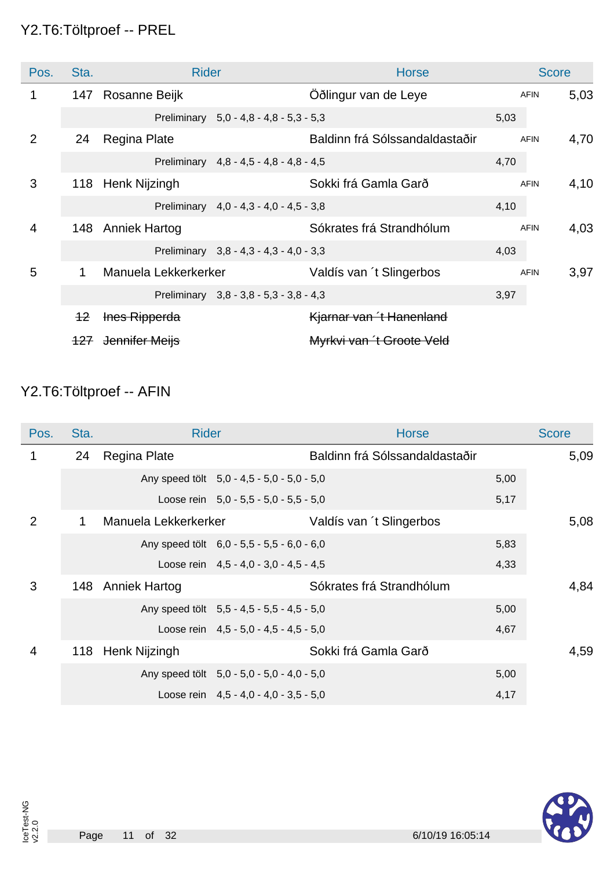### Y2.T6:Töltproef -- PREL

| Pos.           | Sta. | Rider                     |                                         | <b>Horse</b>                   |             | <b>Score</b> |      |
|----------------|------|---------------------------|-----------------------------------------|--------------------------------|-------------|--------------|------|
| 1              | 147  | Rosanne Beijk             |                                         | Öðlingur van de Leye           |             | <b>AFIN</b>  | 5,03 |
|                |      |                           | Preliminary 5,0 - 4,8 - 4,8 - 5,3 - 5,3 |                                | 5,03        |              |      |
| $\overline{2}$ | 24   | Regina Plate              |                                         | Baldinn frá Sólssandaldastaðir |             | <b>AFIN</b>  | 4,70 |
|                |      |                           | Preliminary 4,8 - 4,5 - 4,8 - 4,8 - 4,5 |                                | 4,70        |              |      |
| 3              |      | 118 Henk Nijzingh         |                                         | Sokki frá Gamla Garð           | <b>AFIN</b> |              | 4,10 |
|                |      |                           | Preliminary 4,0 - 4,3 - 4,0 - 4,5 - 3,8 |                                | 4,10        |              |      |
| $\overline{4}$ | 148  | <b>Anniek Hartog</b>      |                                         | Sókrates frá Strandhólum       |             | <b>AFIN</b>  | 4,03 |
|                |      |                           | Preliminary 3,8 - 4,3 - 4,3 - 4,0 - 3,3 |                                | 4,03        |              |      |
| 5              | 1    | Manuela Lekkerkerker      |                                         | Valdís van 't Slingerbos       |             | <b>AFIN</b>  | 3,97 |
|                |      |                           | Preliminary 3,8 - 3,8 - 5,3 - 3,8 - 4,3 |                                | 3,97        |              |      |
|                | $+2$ | <b>Ines Ripperda</b>      |                                         | Kjarnar van 't Hanenland       |             |              |      |
|                |      | <b>127</b> Jennifer Meijs |                                         | Myrkvi van 't Groote Veld      |             |              |      |

### Y2.T6:Töltproef -- AFIN

| Pos. | Sta. | <b>Rider</b>         |                                            | <b>Horse</b>                   |      | <b>Score</b> |
|------|------|----------------------|--------------------------------------------|--------------------------------|------|--------------|
|      | 24   | Regina Plate         |                                            | Baldinn frá Sólssandaldastaðir |      | 5,09         |
|      |      |                      | Any speed tölt 5,0 - 4,5 - 5,0 - 5,0 - 5,0 |                                | 5,00 |              |
|      |      |                      | Loose rein $5,0 - 5,5 - 5,0 - 5,5 - 5,0$   |                                | 5,17 |              |
| 2    | 1    | Manuela Lekkerkerker |                                            | Valdís van 't Slingerbos       |      | 5,08         |
|      |      |                      | Any speed tolt 6,0 - 5,5 - 5,5 - 6,0 - 6,0 |                                | 5,83 |              |
|      |      |                      | Loose rein $4,5 - 4,0 - 3,0 - 4,5 - 4,5$   |                                | 4,33 |              |
| 3    |      | 148 Anniek Hartog    |                                            | Sókrates frá Strandhólum       |      | 4,84         |
|      |      |                      | Any speed tölt 5,5 - 4,5 - 5,5 - 4,5 - 5,0 |                                | 5,00 |              |
|      |      |                      | Loose rein $4,5 - 5,0 - 4,5 - 4,5 - 5,0$   |                                | 4,67 |              |
| 4    |      | 118 Henk Nijzingh    |                                            | Sokki frá Gamla Garð           |      | 4,59         |
|      |      |                      | Any speed tolt 5,0 - 5,0 - 5,0 - 4,0 - 5,0 |                                | 5,00 |              |
|      |      |                      | Loose rein $4,5 - 4,0 - 4,0 - 3,5 - 5,0$   |                                | 4,17 |              |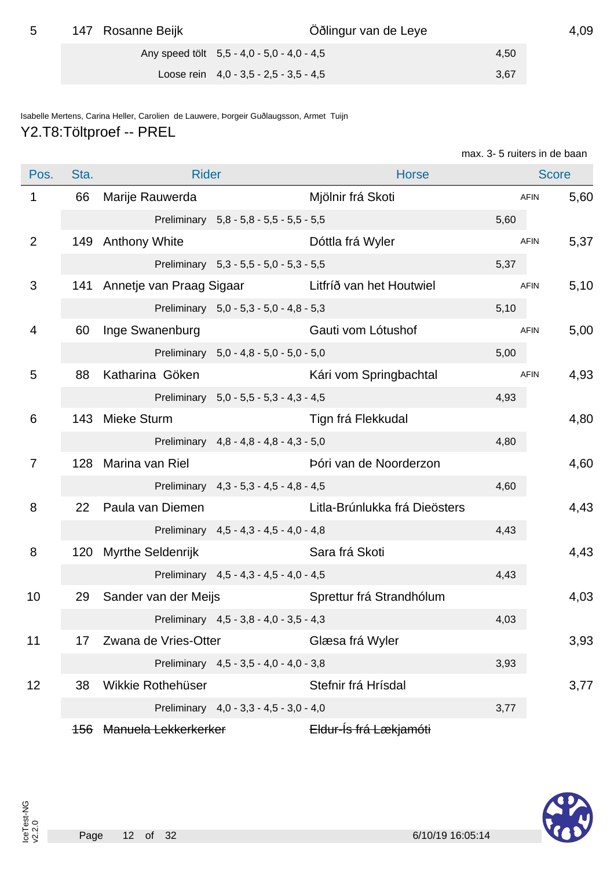| -5 | 147 Rosanne Beijk | Oðlingur van de Leye                         |      | 4,09 |
|----|-------------------|----------------------------------------------|------|------|
|    |                   | Any speed tölt $5,5 - 4,0 - 5,0 - 4,0 - 4,5$ | 4.50 |      |
|    |                   | Loose rein $4,0 - 3,5 - 2,5 - 3,5 - 4,5$     | 3,67 |      |

Isabelle Mertens, Carina Heller, Carolien de Lauwere, Þorgeir Guðlaugsson, Armet Tuijn Y2.T8:Töltproef -- PREL

|  | max. 3- 5 ruiters in de baan |  |  |
|--|------------------------------|--|--|
|  |                              |  |  |

| Pos.           | Sta.           | <b>Rider</b>          |                                         | <b>Horse</b>                                          |             | <b>Score</b> |      |
|----------------|----------------|-----------------------|-----------------------------------------|-------------------------------------------------------|-------------|--------------|------|
| $\mathbf 1$    | 66             | Marije Rauwerda       |                                         | Mjölnir frá Skoti                                     | <b>AFIN</b> |              | 5,60 |
|                |                |                       | Preliminary 5,8 - 5,8 - 5,5 - 5,5 - 5,5 |                                                       | 5,60        |              |      |
| $\overline{2}$ |                | 149 Anthony White     |                                         | Dóttla frá Wyler                                      | <b>AFIN</b> |              | 5,37 |
|                |                |                       | Preliminary 5,3 - 5,5 - 5,0 - 5,3 - 5,5 |                                                       | 5,37        |              |      |
| 3              |                |                       |                                         | 141 Annetje van Praag Sigaar Litfríð van het Houtwiel | <b>AFIN</b> |              | 5,10 |
|                |                |                       | Preliminary 5,0 - 5,3 - 5,0 - 4,8 - 5,3 |                                                       | 5,10        |              |      |
| 4              | 60             | Inge Swanenburg       |                                         | Gauti vom Lótushof                                    | <b>AFIN</b> |              | 5,00 |
|                |                |                       | Preliminary 5,0 - 4,8 - 5,0 - 5,0 - 5,0 |                                                       | 5,00        |              |      |
| 5              | 88             | Katharina Göken       |                                         | Kári vom Springbachtal                                | <b>AFIN</b> |              | 4,93 |
|                |                |                       | Preliminary 5,0 - 5,5 - 5,3 - 4,3 - 4,5 |                                                       | 4,93        |              |      |
| 6              |                | 143 Mieke Sturm       |                                         | Tign frá Flekkudal                                    |             |              | 4,80 |
|                |                |                       | Preliminary 4,8 - 4,8 - 4,8 - 4,3 - 5,0 |                                                       | 4,80        |              |      |
| $\overline{7}$ | 128            | Marina van Riel       |                                         | Þóri van de Noorderzon                                |             |              | 4,60 |
|                |                |                       | Preliminary 4,3 - 5,3 - 4,5 - 4,8 - 4,5 |                                                       | 4,60        |              |      |
| 8              | 22             | Paula van Diemen      |                                         | Litla-Brúnlukka frá Dieösters                         |             |              | 4,43 |
|                |                |                       | Preliminary 4,5 - 4,3 - 4,5 - 4,0 - 4,8 |                                                       | 4,43        |              |      |
| 8              |                | 120 Myrthe Seldenrijk |                                         | Sara frá Skoti                                        |             |              | 4,43 |
|                |                |                       | Preliminary 4,5 - 4,3 - 4,5 - 4,0 - 4,5 |                                                       | 4,43        |              |      |
| 10             | 29             | Sander van der Meijs  |                                         | Sprettur frá Strandhólum                              |             |              | 4,03 |
|                |                |                       | Preliminary 4,5 - 3,8 - 4,0 - 3,5 - 4,3 |                                                       | 4,03        |              |      |
| 11             | 17             | Zwana de Vries-Otter  |                                         | Glæsa frá Wyler                                       |             |              | 3,93 |
|                |                |                       | Preliminary 4,5 - 3,5 - 4,0 - 4,0 - 3,8 |                                                       | 3,93        |              |      |
| 12             | 38             | Wikkie Rothehüser     |                                         | Stefnir frá Hrísdal                                   |             |              | 3,77 |
|                |                |                       | Preliminary 4,0 - 3,3 - 4,5 - 3,0 - 4,0 |                                                       | 3,77        |              |      |
|                | <del>156</del> | Manuela Lekkerkerker  |                                         | Eldur-Ís frá Lækjamóti                                |             |              |      |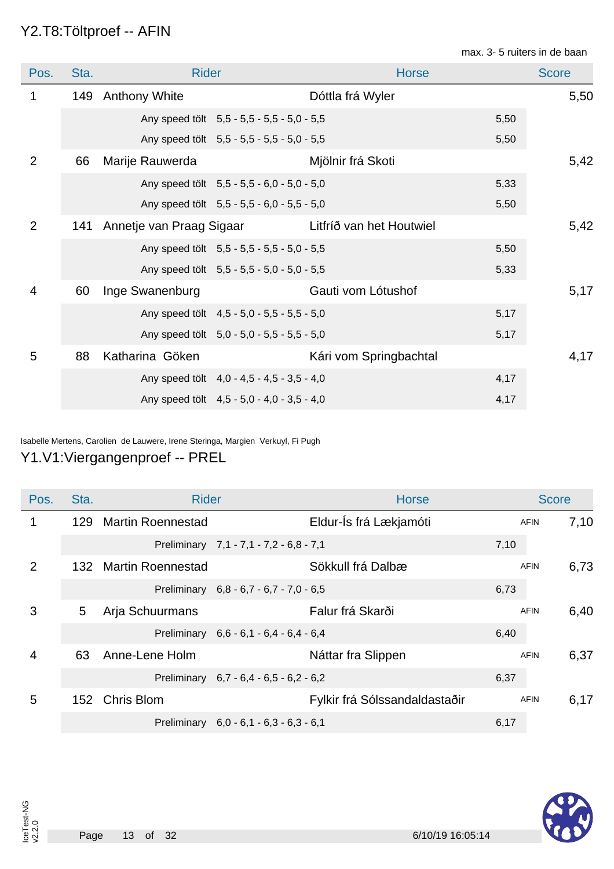#### Y2.T8:Töltproef -- AFIN

max. 3- 5 ruiters in de baan

| Pos.           | Sta. | <b>Rider</b>                          |                                            | <b>Horse</b>             |      | <b>Score</b> |
|----------------|------|---------------------------------------|--------------------------------------------|--------------------------|------|--------------|
| 1              |      | 149 Anthony White<br>Dóttla frá Wyler |                                            |                          | 5,50 |              |
|                |      |                                       | Any speed tölt 5,5 - 5,5 - 5,5 - 5,0 - 5,5 |                          | 5,50 |              |
|                |      |                                       | Any speed tölt 5,5 - 5,5 - 5,5 - 5,0 - 5,5 |                          | 5,50 |              |
| 2              | 66   | Marije Rauwerda                       |                                            | Mjölnir frá Skoti        |      | 5,42         |
|                |      |                                       | Any speed tölt 5,5 - 5,5 - 6,0 - 5,0 - 5,0 |                          | 5,33 |              |
|                |      |                                       | Any speed tölt 5,5 - 5,5 - 6,0 - 5,5 - 5,0 |                          | 5,50 |              |
| 2              | 141  | Annetje van Praag Sigaar              |                                            | Litfríð van het Houtwiel |      | 5,42         |
|                |      |                                       | Any speed tölt 5,5 - 5,5 - 5,5 - 5,0 - 5,5 |                          | 5,50 |              |
|                |      |                                       | Any speed tölt 5,5 - 5,5 - 5,0 - 5,0 - 5,5 |                          | 5,33 |              |
| $\overline{4}$ | 60   | Inge Swanenburg                       |                                            | Gauti vom Lótushof       |      | 5,17         |
|                |      |                                       | Any speed tölt 4,5 - 5,0 - 5,5 - 5,5 - 5,0 |                          | 5,17 |              |
|                |      |                                       | Any speed tölt 5,0 - 5,0 - 5,5 - 5,5 - 5,0 |                          | 5,17 |              |
| 5              | 88   | Katharina Göken                       |                                            | Kári vom Springbachtal   |      | 4,17         |
|                |      |                                       | Any speed tolt 4,0 - 4,5 - 4,5 - 3,5 - 4,0 |                          | 4,17 |              |
|                |      |                                       | Any speed tölt 4,5 - 5,0 - 4,0 - 3,5 - 4,0 |                          | 4,17 |              |

Isabelle Mertens, Carolien de Lauwere, Irene Steringa, Margien Verkuyl, Fi Pugh

#### Y1.V1:Viergangenproef -- PREL

| Pos.           | Sta. | <b>Rider</b>             |                                         | <b>Horse</b>                  |      | <b>Score</b> |      |
|----------------|------|--------------------------|-----------------------------------------|-------------------------------|------|--------------|------|
|                | 129. | <b>Martin Roennestad</b> |                                         | Eldur-Ís frá Lækjamóti        |      | <b>AFIN</b>  | 7,10 |
|                |      |                          | Preliminary 7,1 - 7,1 - 7,2 - 6,8 - 7,1 |                               | 7,10 |              |      |
| 2              |      | 132 Martin Roennestad    |                                         | Sökkull frá Dalbæ             |      | <b>AFIN</b>  | 6,73 |
|                |      |                          | Preliminary 6,8 - 6,7 - 6,7 - 7,0 - 6,5 |                               | 6,73 |              |      |
| 3              | 5    | Arja Schuurmans          |                                         | Falur frá Skarði              |      | <b>AFIN</b>  | 6,40 |
|                |      |                          | Preliminary 6,6 - 6,1 - 6,4 - 6,4 - 6,4 |                               | 6,40 |              |      |
| $\overline{4}$ | 63   | Anne-Lene Holm           |                                         | Náttar fra Slippen            |      | <b>AFIN</b>  | 6,37 |
|                |      |                          | Preliminary 6,7 - 6,4 - 6,5 - 6,2 - 6,2 |                               | 6,37 |              |      |
| 5              |      | 152 Chris Blom           |                                         | Fylkir frá Sólssandaldastaðir |      | <b>AFIN</b>  | 6,17 |
|                |      |                          | Preliminary 6,0 - 6,1 - 6,3 - 6,3 - 6,1 |                               | 6,17 |              |      |

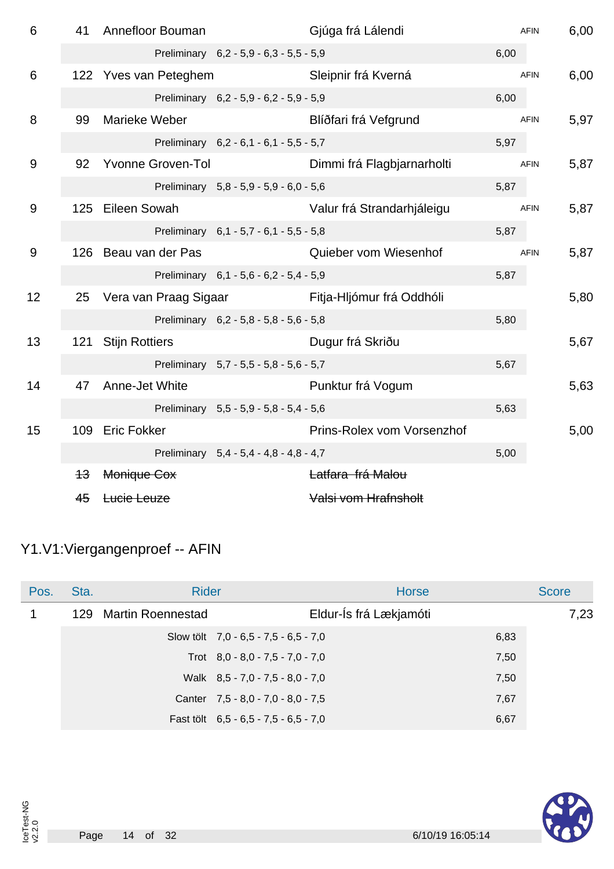| 6               | 41  | Annefloor Bouman         |                                         | Gjúga frá Lálendi                               |      | <b>AFIN</b> | 6,00 |
|-----------------|-----|--------------------------|-----------------------------------------|-------------------------------------------------|------|-------------|------|
|                 |     |                          | Preliminary 6,2 - 5,9 - 6,3 - 5,5 - 5,9 |                                                 | 6,00 |             |      |
| $6\phantom{1}6$ |     | 122 Yves van Peteghem    |                                         | Sleipnir frá Kverná                             |      | <b>AFIN</b> | 6,00 |
|                 |     |                          | Preliminary 6,2 - 5,9 - 6,2 - 5,9 - 5,9 |                                                 | 6,00 |             |      |
| 8               | 99  | <b>Marieke Weber</b>     |                                         | Blíðfari frá Vefgrund                           |      | <b>AFIN</b> | 5,97 |
|                 |     |                          | Preliminary 6,2 - 6,1 - 6,1 - 5,5 - 5,7 |                                                 | 5,97 |             |      |
| 9               | 92  | <b>Yvonne Groven-Tol</b> |                                         | Dimmi frá Flagbjarnarholti                      |      | <b>AFIN</b> | 5,87 |
|                 |     |                          | Preliminary 5,8 - 5,9 - 5,9 - 6,0 - 5,6 |                                                 | 5,87 |             |      |
| 9               |     | 125 Eileen Sowah         |                                         | Valur frá Strandarhjáleigu                      |      | <b>AFIN</b> | 5,87 |
|                 |     |                          | Preliminary 6,1 - 5,7 - 6,1 - 5,5 - 5,8 |                                                 | 5,87 |             |      |
| 9               |     | 126 Beau van der Pas     |                                         | Quieber vom Wiesenhof                           |      | <b>AFIN</b> | 5,87 |
|                 |     |                          | Preliminary 6,1 - 5,6 - 6,2 - 5,4 - 5,9 |                                                 | 5,87 |             |      |
| 12              | 25  |                          |                                         | Vera van Praag Sigaar Fitja-Hljómur frá Oddhóli |      |             | 5,80 |
|                 |     |                          | Preliminary 6,2 - 5,8 - 5,8 - 5,6 - 5,8 |                                                 | 5,80 |             |      |
| 13              | 121 | <b>Stijn Rottiers</b>    |                                         | Dugur frá Skriðu                                |      |             | 5,67 |
|                 |     |                          | Preliminary 5,7 - 5,5 - 5,8 - 5,6 - 5,7 |                                                 | 5,67 |             |      |
| 14              | 47  | Anne-Jet White           |                                         | Punktur frá Vogum                               |      |             | 5,63 |
|                 |     |                          | Preliminary 5,5 - 5,9 - 5,8 - 5,4 - 5,6 |                                                 | 5,63 |             |      |
| 15              |     | 109 Eric Fokker          |                                         | Prins-Rolex vom Vorsenzhof                      |      |             | 5,00 |
|                 |     |                          | Preliminary 5,4 - 5,4 - 4,8 - 4,8 - 4,7 |                                                 | 5,00 |             |      |
|                 | 43  | Monique Cox              |                                         | Latfara frá Malou                               |      |             |      |
|                 | 45  | Lucie Leuze              |                                         | Valsi vom Hrafnsholt                            |      |             |      |

# Y1.V1:Viergangenproef -- AFIN

| Pos. | Sta. | <b>Rider</b>      | <b>Horse</b>                            |      | <b>Score</b> |
|------|------|-------------------|-----------------------------------------|------|--------------|
|      | 129  | Martin Roennestad | Eldur-Ís frá Lækjamóti                  |      | 7,23         |
|      |      |                   | Slow tölt $7.0 - 6.5 - 7.5 - 6.5 - 7.0$ | 6,83 |              |
|      |      |                   | Trot $8.0 - 8.0 - 7.5 - 7.0 - 7.0$      | 7,50 |              |
|      |      |                   | Walk 8,5 - 7,0 - 7,5 - 8,0 - 7,0        | 7,50 |              |
|      |      |                   | Canter 7,5 - 8,0 - 7,0 - 8,0 - 7,5      | 7,67 |              |
|      |      |                   | Fast tölt $6.5 - 6.5 - 7.5 - 6.5 - 7.0$ | 6,67 |              |

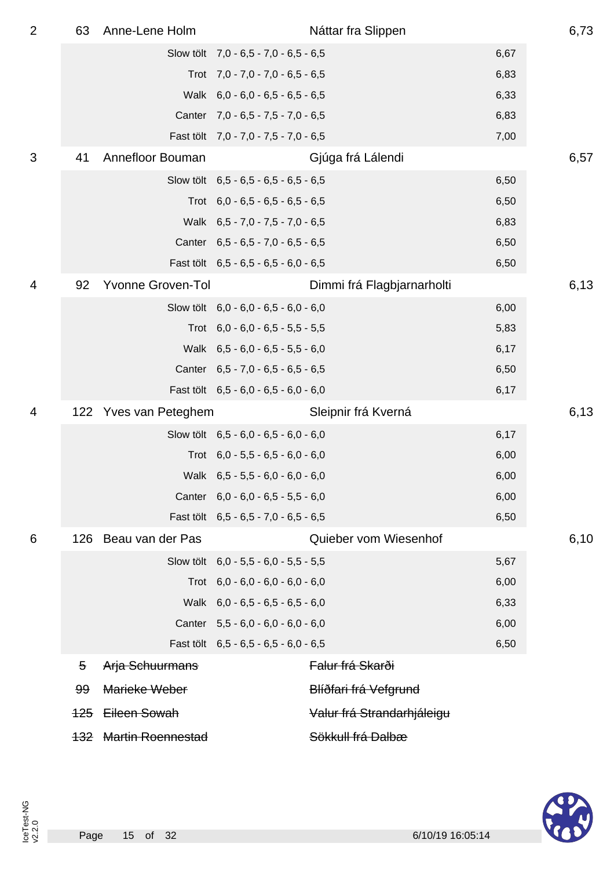| $\overline{2}$ | 63             | Anne-Lene Holm               |                                         | Náttar fra Slippen         |      | 6,73 |
|----------------|----------------|------------------------------|-----------------------------------------|----------------------------|------|------|
|                |                |                              | Slow tölt 7,0 - 6,5 - 7,0 - 6,5 - 6,5   |                            | 6,67 |      |
|                |                |                              | Trot $7.0 - 7.0 - 7.0 - 6.5 - 6.5$      |                            | 6,83 |      |
|                |                |                              | Walk 6,0 - 6,0 - 6,5 - 6,5 - 6,5        |                            | 6,33 |      |
|                |                |                              | Canter 7,0 - 6,5 - 7,5 - 7,0 - 6,5      |                            | 6,83 |      |
|                |                |                              | Fast tölt 7,0 - 7,0 - 7,5 - 7,0 - 6,5   |                            | 7,00 |      |
| 3              | 41             | Annefloor Bouman             |                                         | Gjúga frá Lálendi          |      | 6,57 |
|                |                |                              | Slow tölt 6,5 - 6,5 - 6,5 - 6,5 - 6,5   |                            | 6,50 |      |
|                |                |                              | Trot $6,0 - 6,5 - 6,5 - 6,5 - 6,5$      |                            | 6,50 |      |
|                |                |                              | Walk 6,5 - 7,0 - 7,5 - 7,0 - 6,5        |                            | 6,83 |      |
|                |                |                              | Canter 6,5 - 6,5 - 7,0 - 6,5 - 6,5      |                            | 6,50 |      |
|                |                |                              | Fast tölt 6,5 - 6,5 - 6,5 - 6,0 - 6,5   |                            | 6,50 |      |
| 4              | 92             | <b>Yvonne Groven-Tol</b>     |                                         | Dimmi frá Flagbjarnarholti |      | 6,13 |
|                |                |                              | Slow tölt $6.0 - 6.0 - 6.5 - 6.0 - 6.0$ |                            | 6,00 |      |
|                |                |                              | Trot $6,0 - 6,0 - 6,5 - 5,5 - 5,5$      |                            | 5,83 |      |
|                |                |                              | Walk 6,5 - 6,0 - 6,5 - 5,5 - 6,0        |                            | 6,17 |      |
|                |                |                              | Canter 6,5 - 7,0 - 6,5 - 6,5 - 6,5      |                            | 6,50 |      |
|                |                |                              | Fast tölt 6,5 - 6,0 - 6,5 - 6,0 - 6,0   |                            | 6,17 |      |
| 4              |                | 122 Yves van Peteghem        |                                         | Sleipnir frá Kverná        |      | 6,13 |
|                |                |                              | Slow tölt 6,5 - 6,0 - 6,5 - 6,0 - 6,0   |                            | 6,17 |      |
|                |                |                              | Trot $6,0 - 5,5 - 6,5 - 6,0 - 6,0$      |                            | 6,00 |      |
|                |                |                              | Walk 6,5 - 5,5 - 6,0 - 6,0 - 6,0        |                            | 6,00 |      |
|                |                |                              | Canter 6,0 - 6,0 - 6,5 - 5,5 - 6,0      |                            | 6,00 |      |
|                |                |                              | Fast tölt 6,5 - 6,5 - 7,0 - 6,5 - 6,5   |                            | 6,50 |      |
| 6              |                | 126 Beau van der Pas         |                                         | Quieber vom Wiesenhof      |      | 6,10 |
|                |                |                              | Slow tölt 6,0 - 5,5 - 6,0 - 5,5 - 5,5   |                            | 5,67 |      |
|                |                |                              | Trot $6.0 - 6.0 - 6.0 - 6.0 - 6.0$      |                            | 6,00 |      |
|                |                |                              | Walk 6,0 - 6,5 - 6,5 - 6,5 - 6,0        |                            | 6,33 |      |
|                |                |                              | Canter 5,5 - 6,0 - 6,0 - 6,0 - 6,0      |                            | 6,00 |      |
|                |                |                              | Fast tölt 6,5 - 6,5 - 6,5 - 6,0 - 6,5   |                            | 6,50 |      |
|                | 5              | Arja Schuurmans              |                                         | Falur frá Skarði           |      |      |
|                | <del>99</del>  | Marieke Weber                |                                         | Blíðfari frá Vefgrund      |      |      |
|                | <del>125</del> | Eileen Sowah                 |                                         | Valur frá Strandarhjáleigu |      |      |
|                |                | <b>132 Martin Roennestad</b> |                                         | Sökkull frá Dalbæ          |      |      |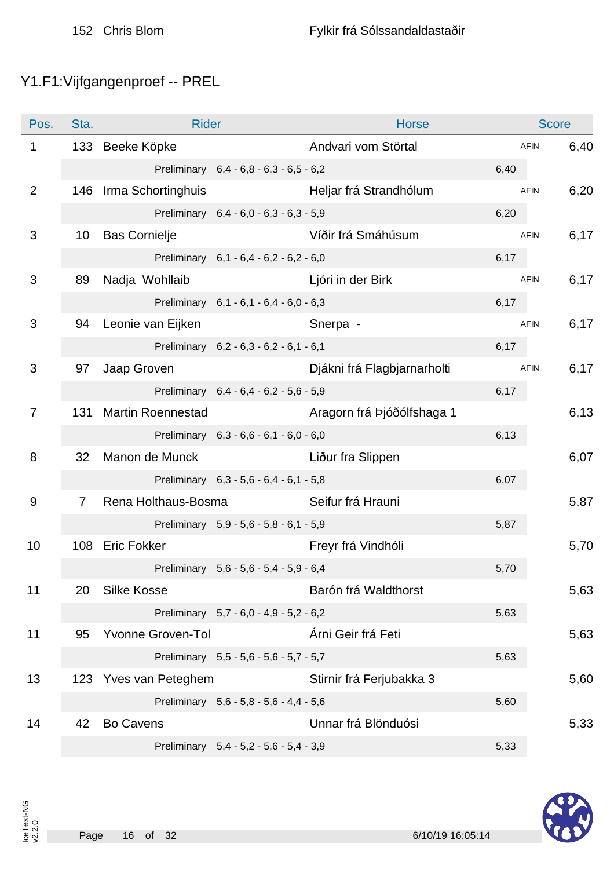### Y1.F1:Vijfgangenproef -- PREL

| Pos.           | Sta.           | <b>Rider</b>             |                                         | <b>Horse</b>                |      | <b>Score</b> |      |
|----------------|----------------|--------------------------|-----------------------------------------|-----------------------------|------|--------------|------|
| 1              |                | 133 Beeke Köpke          |                                         | Andvari vom Störtal         |      | <b>AFIN</b>  | 6,40 |
|                |                |                          | Preliminary 6,4 - 6,8 - 6,3 - 6,5 - 6,2 |                             | 6,40 |              |      |
| $\overline{2}$ |                | 146 Irma Schortinghuis   |                                         | Heljar frá Strandhólum      |      | <b>AFIN</b>  | 6,20 |
|                |                |                          | Preliminary 6,4 - 6,0 - 6,3 - 6,3 - 5,9 |                             | 6,20 |              |      |
| 3              | 10             | <b>Bas Cornielje</b>     |                                         | Víðir frá Smáhúsum          |      | <b>AFIN</b>  | 6,17 |
|                |                |                          | Preliminary 6,1 - 6,4 - 6,2 - 6,2 - 6,0 |                             | 6,17 |              |      |
| 3              | 89             | Nadja Wohllaib           |                                         | Ljóri in der Birk           |      | <b>AFIN</b>  | 6,17 |
|                |                |                          | Preliminary 6,1 - 6,1 - 6,4 - 6,0 - 6,3 |                             | 6,17 |              |      |
| 3              | 94             | Leonie van Eijken        |                                         | Snerpa -                    |      | <b>AFIN</b>  | 6,17 |
|                |                |                          | Preliminary 6,2 - 6,3 - 6,2 - 6,1 - 6,1 |                             | 6,17 |              |      |
| 3              | 97             | Jaap Groven              |                                         | Djákni frá Flagbjarnarholti |      | <b>AFIN</b>  | 6,17 |
|                |                |                          | Preliminary 6,4 - 6,4 - 6,2 - 5,6 - 5,9 |                             | 6,17 |              |      |
| $\overline{7}$ | 131            | <b>Martin Roennestad</b> |                                         | Aragorn frá Þjóðólfshaga 1  |      |              | 6,13 |
|                |                |                          | Preliminary 6,3 - 6,6 - 6,1 - 6,0 - 6,0 |                             | 6,13 |              |      |
| 8              | 32             | Manon de Munck           |                                         | Liður fra Slippen           |      |              | 6,07 |
|                |                |                          | Preliminary 6,3 - 5,6 - 6,4 - 6,1 - 5,8 |                             | 6,07 |              |      |
| 9              | $\overline{7}$ | Rena Holthaus-Bosma      |                                         | Seifur frá Hrauni           |      |              | 5,87 |
|                |                |                          | Preliminary 5,9 - 5,6 - 5,8 - 6,1 - 5,9 |                             | 5,87 |              |      |
| 10             |                | 108 Eric Fokker          |                                         | Freyr frá Vindhóli          |      |              | 5,70 |
|                |                |                          | Preliminary 5,6 - 5,6 - 5,4 - 5,9 - 6,4 |                             | 5,70 |              |      |
| 11             | 20             | <b>Silke Kosse</b>       |                                         | Barón frá Waldthorst        |      |              | 5,63 |
|                |                |                          | Preliminary 5,7 - 6,0 - 4,9 - 5,2 - 6,2 |                             | 5,63 |              |      |
| 11             | 95             | <b>Yvonne Groven-Tol</b> |                                         | Árni Geir frá Feti          |      |              | 5,63 |
|                |                |                          | Preliminary 5,5 - 5,6 - 5,6 - 5,7 - 5,7 |                             | 5,63 |              |      |
| 13             |                | 123 Yves van Peteghem    |                                         | Stirnir frá Ferjubakka 3    |      |              | 5,60 |
|                |                |                          | Preliminary 5,6 - 5,8 - 5,6 - 4,4 - 5,6 |                             | 5,60 |              |      |
| 14             | 42             | <b>Bo Cavens</b>         |                                         | Unnar frá Blönduósi         |      |              | 5,33 |
|                |                |                          | Preliminary 5,4 - 5,2 - 5,6 - 5,4 - 3,9 |                             | 5,33 |              |      |

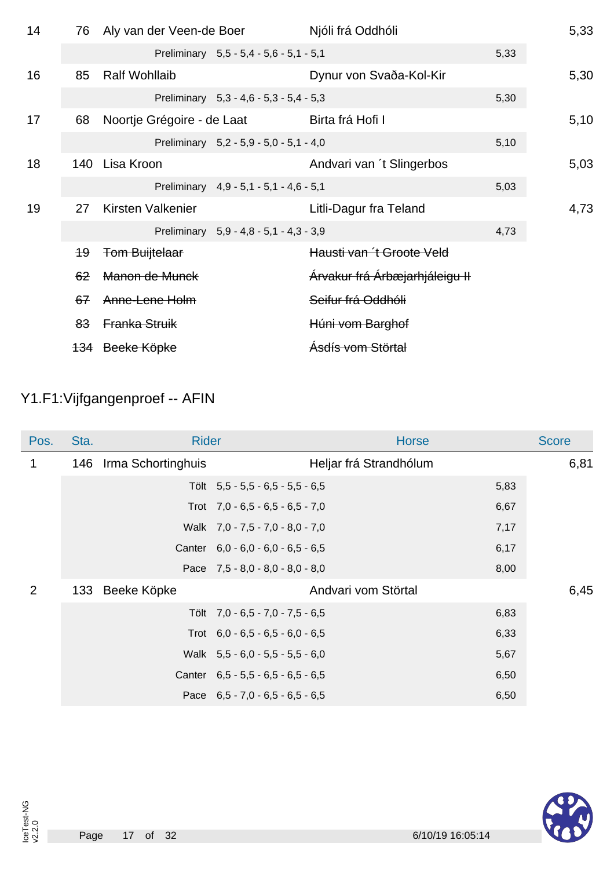|               |                       |                                   | Njóli frá Oddhóli              |                                                                                                                                                                                                                                                                    | 5,33 |
|---------------|-----------------------|-----------------------------------|--------------------------------|--------------------------------------------------------------------------------------------------------------------------------------------------------------------------------------------------------------------------------------------------------------------|------|
|               |                       |                                   |                                | 5,33                                                                                                                                                                                                                                                               |      |
| 85            | <b>Ralf Wohllaib</b>  |                                   | Dynur von Svaða-Kol-Kir        |                                                                                                                                                                                                                                                                    | 5,30 |
|               |                       |                                   |                                | 5,30                                                                                                                                                                                                                                                               |      |
| 68            |                       |                                   |                                |                                                                                                                                                                                                                                                                    | 5,10 |
|               |                       |                                   |                                | 5,10                                                                                                                                                                                                                                                               |      |
|               |                       |                                   | Andvari van 't Slingerbos      |                                                                                                                                                                                                                                                                    | 5,03 |
|               |                       |                                   |                                | 5,03                                                                                                                                                                                                                                                               |      |
| 27            | Kirsten Valkenier     |                                   | Litli-Dagur fra Teland         |                                                                                                                                                                                                                                                                    | 4,73 |
|               |                       |                                   |                                | 4,73                                                                                                                                                                                                                                                               |      |
| $+9$          | <b>Tom Buijtelaar</b> |                                   | Hausti van 't Groote Veld      |                                                                                                                                                                                                                                                                    |      |
| 62            | Manon de Munck        |                                   | Árvakur frá Árbæjarhjáleigu II |                                                                                                                                                                                                                                                                    |      |
| 67            | Anne-Lene Holm        |                                   | Seifur frá Oddhóli             |                                                                                                                                                                                                                                                                    |      |
| <del>83</del> | Franka Struik         |                                   | Húni vom Barghof               |                                                                                                                                                                                                                                                                    |      |
|               |                       |                                   | <del>Ásdís vom Störtal</del>   |                                                                                                                                                                                                                                                                    |      |
|               |                       | 140 Lisa Kroon<br>134 Beeke Köpke | 76 Aly van der Veen-de Boer    | Preliminary 5,5 - 5,4 - 5,6 - 5,1 - 5,1<br>Preliminary 5,3 - 4,6 - 5,3 - 5,4 - 5,3<br>Noortje Grégoire - de Laat Birta frá Hofi I<br>Preliminary 5,2 - 5,9 - 5,0 - 5,1 - 4,0<br>Preliminary 4,9 - 5,1 - 5,1 - 4,6 - 5,1<br>Preliminary 5,9 - 4,8 - 5,1 - 4,3 - 3,9 |      |

# Y1.F1:Vijfgangenproef -- AFIN

| Pos.           | Sta. | <b>Rider</b>           |                                      | <b>Horse</b>           |      | <b>Score</b> |
|----------------|------|------------------------|--------------------------------------|------------------------|------|--------------|
| 1              |      | 146 Irma Schortinghuis |                                      | Heljar frá Strandhólum |      | 6,81         |
|                |      |                        | Tölt $5,5 - 5,5 - 6,5 - 5,5 - 6,5$   |                        | 5,83 |              |
|                |      |                        | Trot $7,0 - 6,5 - 6,5 - 6,5 - 7,0$   |                        | 6,67 |              |
|                |      |                        | Walk 7,0 - 7,5 - 7,0 - 8,0 - 7,0     |                        | 7,17 |              |
|                |      |                        | Canter $6,0 - 6,0 - 6,0 - 6,5 - 6,5$ |                        | 6,17 |              |
|                |      |                        | Pace $7,5 - 8,0 - 8,0 - 8,0 - 8,0$   |                        | 8,00 |              |
| $\overline{2}$ |      | 133 Beeke Köpke        |                                      | Andvari vom Störtal    |      | 6,45         |
|                |      |                        | Tölt 7,0 - 6,5 - 7,0 - 7,5 - 6,5     |                        | 6,83 |              |
|                |      |                        | Trot $6,0 - 6,5 - 6,5 - 6,0 - 6,5$   |                        | 6,33 |              |
|                |      |                        | Walk 5,5 - 6,0 - 5,5 - 5,5 - 6,0     |                        | 5,67 |              |
|                |      |                        | Canter $6,5 - 5,5 - 6,5 - 6,5 - 6,5$ |                        | 6,50 |              |
|                |      |                        | Pace $6.5 - 7.0 - 6.5 - 6.5 - 6.5$   |                        | 6,50 |              |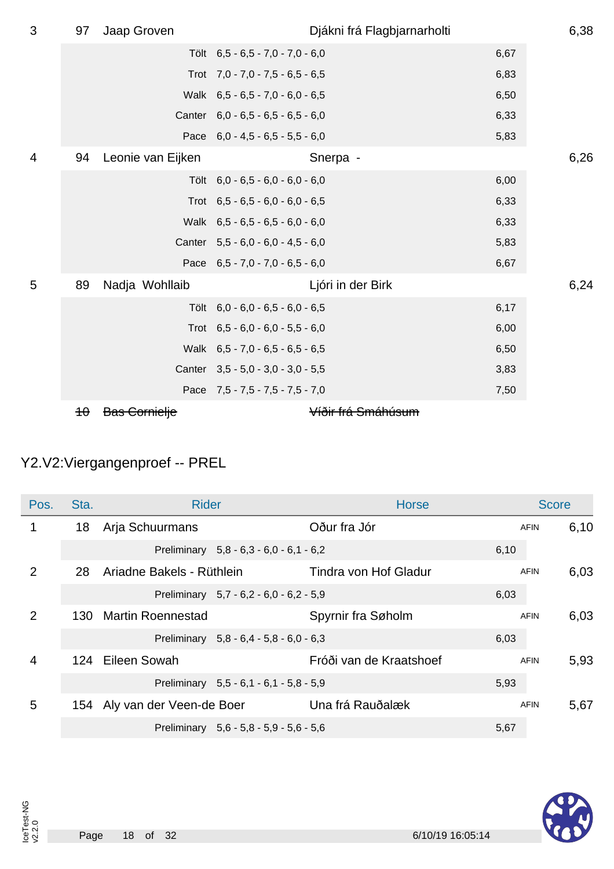| 3 | 97        | Jaap Groven          | Djákni frá Flagbjarnarholti        |      | 6,38 |
|---|-----------|----------------------|------------------------------------|------|------|
|   |           |                      | Tölt 6,5 - 6,5 - 7,0 - 7,0 - 6,0   | 6,67 |      |
|   |           |                      | Trot $7,0 - 7,0 - 7,5 - 6,5 - 6,5$ | 6,83 |      |
|   |           |                      | Walk 6,5 - 6,5 - 7,0 - 6,0 - 6,5   | 6,50 |      |
|   |           |                      | Canter 6,0 - 6,5 - 6,5 - 6,5 - 6,0 | 6,33 |      |
|   |           |                      | Pace $6,0 - 4,5 - 6,5 - 5,5 - 6,0$ | 5,83 |      |
| 4 | 94        | Leonie van Eijken    | Snerpa -                           |      | 6,26 |
|   |           |                      | Tölt $6.0 - 6.5 - 6.0 - 6.0 - 6.0$ | 6,00 |      |
|   |           |                      | Trot $6,5 - 6,5 - 6,0 - 6,0 - 6,5$ | 6,33 |      |
|   |           |                      | Walk 6,5 - 6,5 - 6,5 - 6,0 - 6,0   | 6,33 |      |
|   |           |                      | Canter 5,5 - 6,0 - 6,0 - 4,5 - 6,0 | 5,83 |      |
|   |           |                      | Pace $6.5 - 7.0 - 7.0 - 6.5 - 6.0$ | 6,67 |      |
| 5 | 89        | Nadja Wohllaib       | Ljóri in der Birk                  |      | 6,24 |
|   |           |                      | Tölt 6,0 - 6,0 - 6,5 - 6,0 - 6,5   | 6,17 |      |
|   |           |                      | Trot $6,5 - 6,0 - 6,0 - 5,5 - 6,0$ | 6,00 |      |
|   |           |                      | Walk 6,5 - 7,0 - 6,5 - 6,5 - 6,5   | 6,50 |      |
|   |           |                      | Canter 3,5 - 5,0 - 3,0 - 3,0 - 5,5 | 3,83 |      |
|   |           |                      | Pace 7,5 - 7,5 - 7,5 - 7,5 - 7,0   | 7,50 |      |
|   | $4\theta$ | <b>Bas Cornielje</b> | Víðir frá Smáhúsum                 |      |      |

## Y2.V2:Viergangenproef -- PREL

| Pos.           | Sta. | <b>Rider</b>                            | <b>Horse</b>            |             | <b>Score</b> |
|----------------|------|-----------------------------------------|-------------------------|-------------|--------------|
|                | 18   | Arja Schuurmans                         | Oður fra Jór            | <b>AFIN</b> | 6,10         |
|                |      | Preliminary 5,8 - 6,3 - 6,0 - 6,1 - 6,2 |                         | 6,10        |              |
| $\overline{2}$ | 28   | Ariadne Bakels - Rüthlein               | Tindra von Hof Gladur   | <b>AFIN</b> | 6,03         |
|                |      | Preliminary 5,7 - 6,2 - 6,0 - 6,2 - 5,9 |                         | 6,03        |              |
| $\overline{2}$ | 130. | <b>Martin Roennestad</b>                | Spyrnir fra Søholm      | <b>AFIN</b> | 6,03         |
|                |      | Preliminary 5,8 - 6,4 - 5,8 - 6,0 - 6,3 |                         | 6,03        |              |
| 4              |      | 124 Eileen Sowah                        | Fróði van de Kraatshoef | <b>AFIN</b> | 5,93         |
|                |      | Preliminary 5,5 - 6,1 - 6,1 - 5,8 - 5,9 |                         | 5,93        |              |
| 5              |      | 154 Aly van der Veen-de Boer            | Una frá Rauðalæk        | <b>AFIN</b> | 5,67         |
|                |      | Preliminary 5,6 - 5,8 - 5,9 - 5,6 - 5,6 |                         | 5,67        |              |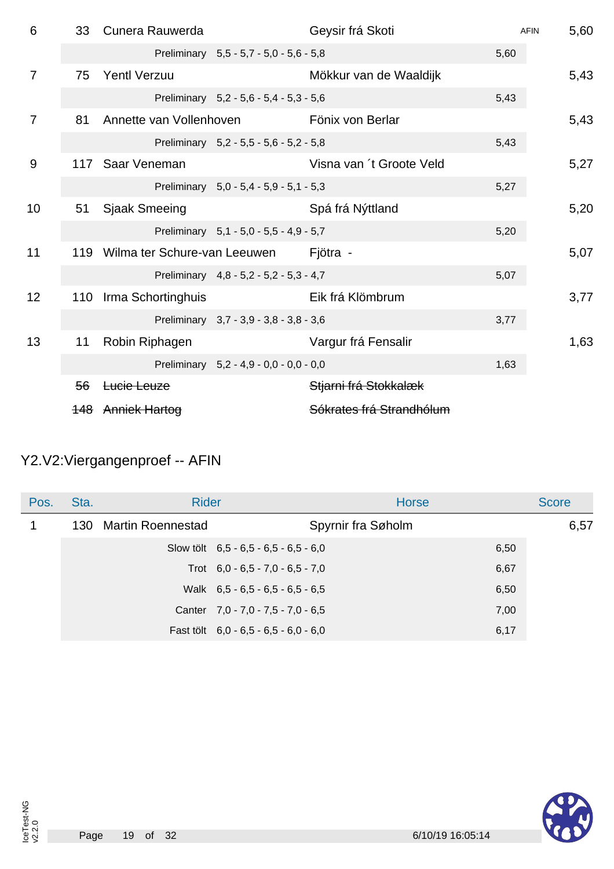| 6              | 33  | Cunera Rauwerda                           |                                           | Geysir frá Skoti         | <b>AFIN</b> | 5,60 |
|----------------|-----|-------------------------------------------|-------------------------------------------|--------------------------|-------------|------|
|                |     |                                           | Preliminary 5,5 - 5,7 - 5,0 - 5,6 - 5,8   |                          | 5,60        |      |
| $\overline{7}$ | 75  | <b>Yentl Verzuu</b>                       |                                           | Mökkur van de Waaldijk   |             | 5,43 |
|                |     |                                           | Preliminary 5,2 - 5,6 - 5,4 - 5,3 - 5,6   |                          | 5,43        |      |
| $\overline{7}$ | 81  | Annette van Vollenhoven                   |                                           | Fönix von Berlar         |             | 5,43 |
|                |     |                                           | Preliminary 5,2 - 5,5 - 5,6 - 5,2 - 5,8   |                          | 5,43        |      |
| 9              | 117 | Saar Veneman                              |                                           | Visna van 't Groote Veld |             | 5,27 |
|                |     |                                           | Preliminary 5,0 - 5,4 - 5,9 - 5,1 - 5,3   |                          | 5,27        |      |
| 10             | 51  | Sjaak Smeeing                             |                                           | Spá frá Nýttland         |             | 5,20 |
|                |     |                                           | Preliminary 5,1 - 5,0 - 5,5 - 4,9 - 5,7   |                          | 5,20        |      |
| 11             |     | 119 Wilma ter Schure-van Leeuwen Fjötra - |                                           |                          |             | 5,07 |
|                |     |                                           | Preliminary 4,8 - 5,2 - 5,2 - 5,3 - 4,7   |                          | 5,07        |      |
| 12             |     | 110 Irma Schortinghuis                    |                                           | Eik frá Klömbrum         |             | 3,77 |
|                |     |                                           | Preliminary 3,7 - 3,9 - 3,8 - 3,8 - 3,6   |                          | 3,77        |      |
| 13             | 11  | Robin Riphagen                            |                                           | Vargur frá Fensalir      |             | 1,63 |
|                |     |                                           | Preliminary $5,2 - 4,9 - 0,0 - 0,0 - 0,0$ |                          | 1,63        |      |
|                | 56  | Lucie Leuze                               |                                           | Stjarni frá Stokkalæk    |             |      |
|                |     | <b>148 Anniek Hartog</b>                  |                                           | Sókrates frá Strandhólum |             |      |

# Y2.V2:Viergangenproef -- AFIN

| Pos. | Sta. | <b>Rider</b>          |                                         | <b>Horse</b>       | <b>Score</b> |
|------|------|-----------------------|-----------------------------------------|--------------------|--------------|
|      |      | 130 Martin Roennestad |                                         | Spyrnir fra Søholm | 6,57         |
|      |      |                       | Slow tölt $6.5 - 6.5 - 6.5 - 6.5 - 6.0$ | 6,50               |              |
|      |      |                       | Trot $6.0 - 6.5 - 7.0 - 6.5 - 7.0$      | 6,67               |              |
|      |      |                       | Walk $6.5 - 6.5 - 6.5 - 6.5 - 6.5$      | 6,50               |              |
|      |      |                       | Canter $7,0 - 7,0 - 7,5 - 7,0 - 6,5$    | 7,00               |              |
|      |      |                       | Fast tölt $6,0 - 6,5 - 6,5 - 6,0 - 6,0$ | 6,17               |              |

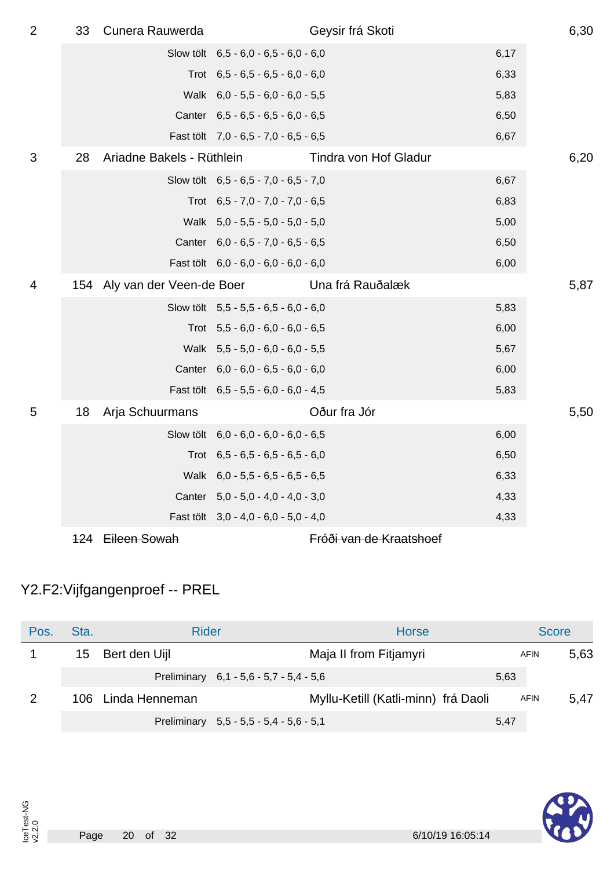| $\overline{2}$ | 33 | Cunera Rauwerda              |                                       | Geysir frá Skoti        |      | 6,30 |
|----------------|----|------------------------------|---------------------------------------|-------------------------|------|------|
|                |    |                              | Slow tölt 6,5 - 6,0 - 6,5 - 6,0 - 6,0 |                         | 6,17 |      |
|                |    |                              | Trot $6,5 - 6,5 - 6,5 - 6,0 - 6,0$    |                         | 6,33 |      |
|                |    |                              | Walk 6,0 - 5,5 - 6,0 - 6,0 - 5,5      |                         | 5,83 |      |
|                |    |                              | Canter 6,5 - 6,5 - 6,5 - 6,0 - 6,5    |                         | 6,50 |      |
|                |    |                              | Fast tölt 7,0 - 6,5 - 7,0 - 6,5 - 6,5 |                         | 6,67 |      |
| 3              | 28 | Ariadne Bakels - Rüthlein    |                                       | Tindra von Hof Gladur   |      | 6,20 |
|                |    |                              | Slow tölt 6,5 - 6,5 - 7,0 - 6,5 - 7,0 |                         | 6,67 |      |
|                |    |                              | Trot $6,5 - 7,0 - 7,0 - 7,0 - 6,5$    |                         | 6,83 |      |
|                |    |                              | Walk 5,0 - 5,5 - 5,0 - 5,0 - 5,0      |                         | 5,00 |      |
|                |    |                              | Canter 6,0 - 6,5 - 7,0 - 6,5 - 6,5    |                         | 6,50 |      |
|                |    |                              | Fast tölt 6,0 - 6,0 - 6,0 - 6,0 - 6,0 |                         | 6,00 |      |
| 4              |    | 154 Aly van der Veen-de Boer |                                       | Una frá Rauðalæk        |      | 5,87 |
|                |    |                              | Slow tölt 5,5 - 5,5 - 6,5 - 6,0 - 6,0 |                         | 5,83 |      |
|                |    |                              | Trot $5,5 - 6,0 - 6,0 - 6,0 - 6,5$    |                         | 6,00 |      |
|                |    |                              | Walk 5,5 - 5,0 - 6,0 - 6,0 - 5,5      |                         | 5,67 |      |
|                |    |                              | Canter $6,0 - 6,0 - 6,5 - 6,0 - 6,0$  |                         | 6,00 |      |
|                |    |                              | Fast tölt 6,5 - 5,5 - 6,0 - 6,0 - 4,5 |                         | 5,83 |      |
| 5              | 18 | Arja Schuurmans              |                                       | Oður fra Jór            |      | 5,50 |
|                |    |                              | Slow tölt 6,0 - 6,0 - 6,0 - 6,0 - 6,5 |                         | 6,00 |      |
|                |    |                              | Trot $6,5 - 6,5 - 6,5 - 6,5 - 6,0$    |                         | 6,50 |      |
|                |    |                              | Walk 6,0 - 5,5 - 6,5 - 6,5 - 6,5      |                         | 6,33 |      |
|                |    |                              | Canter 5,0 - 5,0 - 4,0 - 4,0 - 3,0    |                         | 4,33 |      |
|                |    |                              | Fast tölt 3,0 - 4,0 - 6,0 - 5,0 - 4,0 |                         | 4,33 |      |
|                |    | 124 Eileen Sowah             |                                       | Fróði van de Kraatshoef |      |      |

# Y2.F2:Vijfgangenproef -- PREL

| Pos. | Sta. | <b>Rider</b>   |                                         | <b>Horse</b>                        |      | <b>Score</b> |      |
|------|------|----------------|-----------------------------------------|-------------------------------------|------|--------------|------|
|      | 15   | Bert den Uijl  |                                         | Maja II from Fitjamyri              |      | <b>AFIN</b>  | 5,63 |
|      |      |                | Preliminary 6,1 - 5,6 - 5,7 - 5,4 - 5,6 |                                     | 5,63 |              |      |
|      | 106. | Linda Henneman |                                         | Myllu-Ketill (Katli-minn) frá Daoli |      | AFIN         | 5,47 |
|      |      |                | Preliminary 5,5 - 5,5 - 5,4 - 5,6 - 5,1 |                                     | 5,47 |              |      |

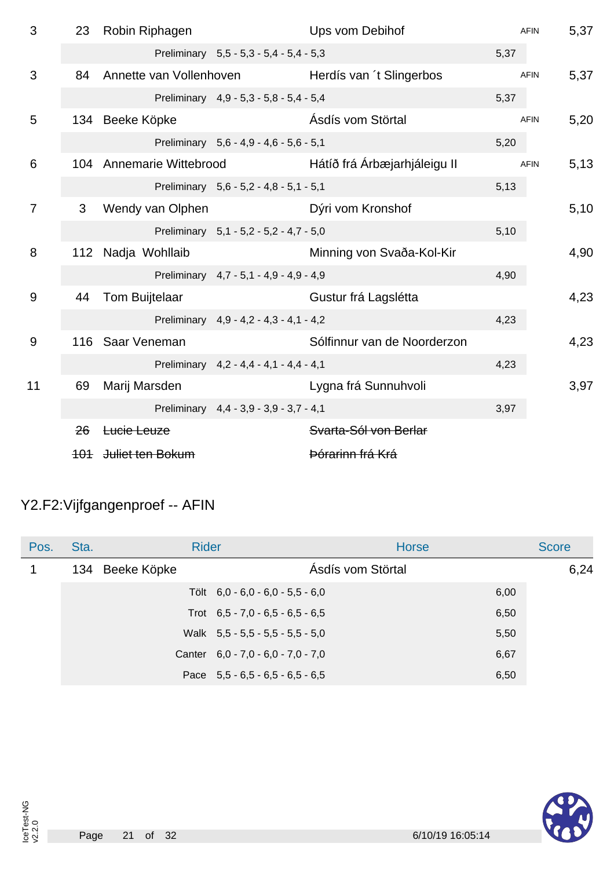| 3              | 23 | Robin Riphagen           |                                         | Ups vom Debihof                                  |      | 5,37<br><b>AFIN</b> |      |
|----------------|----|--------------------------|-----------------------------------------|--------------------------------------------------|------|---------------------|------|
|                |    |                          | Preliminary 5,5 - 5,3 - 5,4 - 5,4 - 5,3 |                                                  | 5,37 |                     |      |
| 3              | 84 |                          |                                         | Annette van Vollenhoven Herdís van 't Slingerbos |      | <b>AFIN</b>         | 5,37 |
|                |    |                          | Preliminary 4,9 - 5,3 - 5,8 - 5,4 - 5,4 |                                                  | 5,37 |                     |      |
| 5              |    | 134 Beeke Köpke          |                                         | Ásdís vom Störtal                                |      | <b>AFIN</b>         | 5,20 |
|                |    |                          | Preliminary 5,6 - 4,9 - 4,6 - 5,6 - 5,1 |                                                  | 5,20 |                     |      |
| 6              |    | 104 Annemarie Wittebrood |                                         | Hátíð frá Árbæjarhjáleigu II                     |      | <b>AFIN</b>         | 5,13 |
|                |    |                          | Preliminary 5,6 - 5,2 - 4,8 - 5,1 - 5,1 |                                                  | 5,13 |                     |      |
| $\overline{7}$ | 3  | Wendy van Olphen         |                                         | Dýri vom Kronshof                                |      |                     | 5,10 |
|                |    |                          | Preliminary 5,1 - 5,2 - 5,2 - 4,7 - 5,0 |                                                  | 5,10 |                     |      |
| 8              |    | 112 Nadja Wohllaib       |                                         | Minning von Svaða-Kol-Kir                        |      |                     | 4,90 |
|                |    |                          | Preliminary 4,7 - 5,1 - 4,9 - 4,9 - 4,9 |                                                  | 4,90 |                     |      |
| 9              | 44 | <b>Tom Buijtelaar</b>    |                                         | Gustur frá Lagslétta                             |      |                     | 4,23 |
|                |    |                          | Preliminary 4,9 - 4,2 - 4,3 - 4,1 - 4,2 |                                                  | 4,23 |                     |      |
| 9              |    | 116 Saar Veneman         |                                         | Sólfinnur van de Noorderzon                      |      |                     | 4,23 |
|                |    |                          | Preliminary 4,2 - 4,4 - 4,1 - 4,4 - 4,1 |                                                  | 4,23 |                     |      |
| 11             | 69 | Marij Marsden            |                                         | Lygna frá Sunnuhvoli                             |      |                     | 3,97 |
|                |    |                          | Preliminary 4,4 - 3,9 - 3,9 - 3,7 - 4,1 |                                                  | 3,97 |                     |      |
|                | 26 | Lucie Leuze              |                                         | Svarta-Sól von Berlar                            |      |                     |      |
|                |    | 101 Juliet ten Bokum     |                                         | <del>Þórarinn frá Krá</del>                      |      |                     |      |

# Y2.F2: Vijfgangenproef -- AFIN

| Pos. | Sta.            | <b>Rider</b>                         | <b>Horse</b>      | <b>Score</b> |
|------|-----------------|--------------------------------------|-------------------|--------------|
|      | 134 Beeke Köpke |                                      | Ásdís vom Störtal | 6,24         |
|      |                 | Tölt $6,0 - 6,0 - 6,0 - 5,5 - 6,0$   | 6,00              |              |
|      |                 | Trot $6,5 - 7,0 - 6,5 - 6,5 - 6,5$   | 6,50              |              |
|      |                 | Walk $5,5 - 5,5 - 5,5 - 5,5 - 5,0$   | 5,50              |              |
|      |                 | Canter $6.0 - 7.0 - 6.0 - 7.0 - 7.0$ | 6,67              |              |
|      |                 | Pace $5,5 - 6,5 - 6,5 - 6,5 - 6,5$   | 6,50              |              |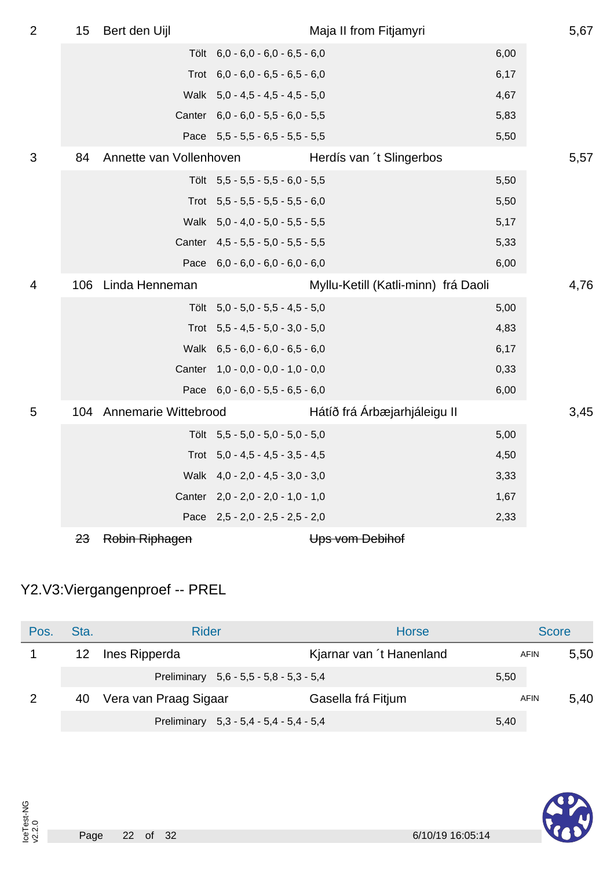| $\overline{2}$ | 15  | Bert den Uijl            |                                    | Maja II from Fitjamyri              |      | 5,67 |
|----------------|-----|--------------------------|------------------------------------|-------------------------------------|------|------|
|                |     |                          | Tölt 6,0 - 6,0 - 6,0 - 6,5 - 6,0   |                                     | 6,00 |      |
|                |     |                          | Trot $6,0 - 6,0 - 6,5 - 6,5 - 6,0$ |                                     | 6,17 |      |
|                |     |                          | Walk 5,0 - 4,5 - 4,5 - 4,5 - 5,0   |                                     | 4,67 |      |
|                |     |                          | Canter 6,0 - 6,0 - 5,5 - 6,0 - 5,5 |                                     | 5,83 |      |
|                |     |                          | Pace $5,5 - 5,5 - 6,5 - 5,5 - 5,5$ |                                     | 5,50 |      |
| 3              | 84  | Annette van Vollenhoven  |                                    | Herdís van 't Slingerbos            |      | 5,57 |
|                |     |                          | Tölt 5,5 - 5,5 - 5,5 - 6,0 - 5,5   |                                     | 5,50 |      |
|                |     |                          | Trot $5,5 - 5,5 - 5,5 - 5,5 - 6,0$ |                                     | 5,50 |      |
|                |     |                          | Walk 5,0 - 4,0 - 5,0 - 5,5 - 5,5   |                                     | 5,17 |      |
|                |     |                          | Canter 4,5 - 5,5 - 5,0 - 5,5 - 5,5 |                                     | 5,33 |      |
|                |     |                          | Pace $6,0 - 6,0 - 6,0 - 6,0 - 6,0$ |                                     | 6,00 |      |
| 4              | 106 | Linda Henneman           |                                    | Myllu-Ketill (Katli-minn) frá Daoli |      | 4,76 |
|                |     |                          | Tölt 5,0 - 5,0 - 5,5 - 4,5 - 5,0   |                                     | 5,00 |      |
|                |     |                          | Trot $5,5 - 4,5 - 5,0 - 3,0 - 5,0$ |                                     | 4,83 |      |
|                |     |                          | Walk 6,5 - 6,0 - 6,0 - 6,5 - 6,0   |                                     | 6,17 |      |
|                |     |                          | Canter 1,0 - 0,0 - 0,0 - 1,0 - 0,0 |                                     | 0,33 |      |
|                |     | Pace                     | $6,0 - 6,0 - 5,5 - 6,5 - 6,0$      |                                     | 6,00 |      |
| 5              |     | 104 Annemarie Wittebrood |                                    | Hátíð frá Árbæjarhjáleigu II        |      | 3,45 |
|                |     |                          | Tölt 5,5 - 5,0 - 5,0 - 5,0 - 5,0   |                                     | 5,00 |      |
|                |     |                          | Trot $5,0 - 4,5 - 4,5 - 3,5 - 4,5$ |                                     | 4,50 |      |
|                |     |                          | Walk 4,0 - 2,0 - 4,5 - 3,0 - 3,0   |                                     | 3,33 |      |
|                |     |                          | Canter 2,0 - 2,0 - 2,0 - 1,0 - 1,0 |                                     | 1,67 |      |
|                |     |                          | Pace $2,5 - 2,0 - 2,5 - 2,5 - 2,0$ |                                     | 2,33 |      |
|                | 23  | Robin Riphagen           |                                    | Ups vom Debihof                     |      |      |

# Y2.V3:Viergangenproef -- PREL

| Pos. | Sta. | <b>Rider</b>                            | <b>Horse</b>             |             | <b>Score</b> |
|------|------|-----------------------------------------|--------------------------|-------------|--------------|
|      | 12   | Ines Ripperda                           | Kjarnar van 't Hanenland | <b>AFIN</b> | 5,50         |
|      |      | Preliminary 5,6 - 5,5 - 5,8 - 5,3 - 5,4 |                          | 5,50        |              |
| 2    | 40   | Vera van Praag Sigaar                   | Gasella frá Fitjum       | <b>AFIN</b> | 5,40         |
|      |      | Preliminary 5,3 - 5,4 - 5,4 - 5,4 - 5,4 |                          | 5,40        |              |

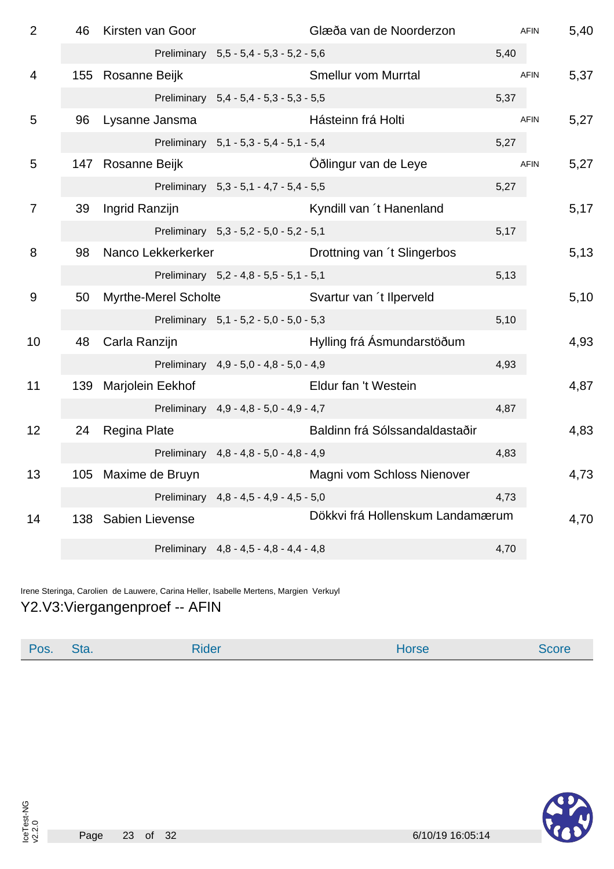| $\overline{2}$ | 46  | Kirsten van Goor            |                                         | Glæða van de Noorderzon          |      | <b>AFIN</b> | 5,40 |
|----------------|-----|-----------------------------|-----------------------------------------|----------------------------------|------|-------------|------|
|                |     |                             | Preliminary 5,5 - 5,4 - 5,3 - 5,2 - 5,6 |                                  | 5,40 |             |      |
| 4              |     | 155 Rosanne Beijk           |                                         | <b>Smellur vom Murrtal</b>       |      | <b>AFIN</b> | 5,37 |
|                |     |                             | Preliminary 5,4 - 5,4 - 5,3 - 5,3 - 5,5 |                                  | 5,37 |             |      |
| 5              | 96  | Lysanne Jansma              |                                         | Hásteinn frá Holti               |      | <b>AFIN</b> | 5,27 |
|                |     |                             | Preliminary 5,1 - 5,3 - 5,4 - 5,1 - 5,4 |                                  | 5,27 |             |      |
| 5              |     | 147 Rosanne Beijk           |                                         | Öðlingur van de Leye             |      | <b>AFIN</b> | 5,27 |
|                |     |                             | Preliminary 5,3 - 5,1 - 4,7 - 5,4 - 5,5 |                                  | 5,27 |             |      |
| 7              | 39  | Ingrid Ranzijn              |                                         | Kyndill van 't Hanenland         |      |             | 5,17 |
|                |     |                             | Preliminary 5,3 - 5,2 - 5,0 - 5,2 - 5,1 |                                  | 5,17 |             |      |
| 8              | 98  | Nanco Lekkerkerker          |                                         | Drottning van 't Slingerbos      |      |             | 5,13 |
|                |     |                             | Preliminary 5,2 - 4,8 - 5,5 - 5,1 - 5,1 |                                  | 5,13 |             |      |
| 9              | 50  | <b>Myrthe-Merel Scholte</b> |                                         | Svartur van 't Ilperveld         |      |             | 5,10 |
|                |     |                             | Preliminary 5,1 - 5,2 - 5,0 - 5,0 - 5,3 |                                  | 5,10 |             |      |
| 10             | 48  | Carla Ranzijn               |                                         | Hylling frá Ásmundarstöðum       |      |             | 4,93 |
|                |     |                             | Preliminary 4,9 - 5,0 - 4,8 - 5,0 - 4,9 |                                  | 4,93 |             |      |
| 11             | 139 | Marjolein Eekhof            |                                         | Eldur fan 't Westein             |      |             | 4,87 |
|                |     |                             | Preliminary 4,9 - 4,8 - 5,0 - 4,9 - 4,7 |                                  | 4,87 |             |      |
| 12             | 24  | <b>Regina Plate</b>         |                                         | Baldinn frá Sólssandaldastaðir   |      |             | 4,83 |
|                |     |                             | Preliminary 4,8 - 4,8 - 5,0 - 4,8 - 4,9 |                                  | 4,83 |             |      |
| 13             |     | 105 Maxime de Bruyn         |                                         | Magni vom Schloss Nienover       |      |             | 4,73 |
|                |     |                             | Preliminary 4,8 - 4,5 - 4,9 - 4,5 - 5,0 |                                  | 4,73 |             |      |
| 14             | 138 | Sabien Lievense             |                                         | Dökkvi frá Hollenskum Landamærum |      |             | 4,70 |
|                |     |                             | Preliminary 4,8 - 4,5 - 4,8 - 4,4 - 4,8 |                                  | 4,70 |             |      |
|                |     |                             |                                         |                                  |      |             |      |

Irene Steringa, Carolien de Lauwere, Carina Heller, Isabelle Mertens, Margien Verkuyl

### Y2.V3:Viergangenproef -- AFIN

| Pos. | Sta. | Rider | Horse | Score |
|------|------|-------|-------|-------|
|      |      |       |       |       |

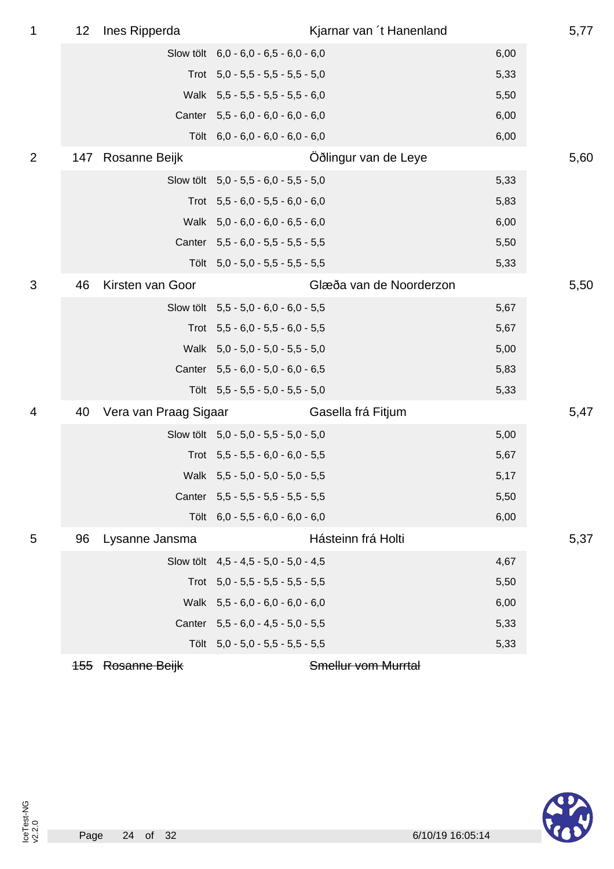| 1              | 12         | Ines Ripperda         |                                       | Kjarnar van 't Hanenland |      | 5,77 |
|----------------|------------|-----------------------|---------------------------------------|--------------------------|------|------|
|                |            |                       | Slow tölt 6,0 - 6,0 - 6,5 - 6,0 - 6,0 |                          | 6,00 |      |
|                |            |                       | Trot $5,0 - 5,5 - 5,5 - 5,5 - 5,0$    |                          | 5,33 |      |
|                |            |                       | Walk 5,5 - 5,5 - 5,5 - 5,5 - 6,0      |                          | 5,50 |      |
|                |            |                       | Canter 5,5 - 6,0 - 6,0 - 6,0 - 6,0    |                          | 6,00 |      |
|                |            |                       | Tölt 6,0 - 6,0 - 6,0 - 6,0 - 6,0      |                          | 6,00 |      |
| $\overline{2}$ | 147        | Rosanne Beijk         |                                       | Öðlingur van de Leye     |      | 5,60 |
|                |            |                       | Slow tölt 5,0 - 5,5 - 6,0 - 5,5 - 5,0 |                          | 5,33 |      |
|                |            |                       | Trot $5,5 - 6,0 - 5,5 - 6,0 - 6,0$    |                          | 5,83 |      |
|                |            |                       | Walk 5,0 - 6,0 - 6,0 - 6,5 - 6,0      |                          | 6,00 |      |
|                |            |                       | Canter 5,5 - 6,0 - 5,5 - 5,5 - 5,5    |                          | 5,50 |      |
|                |            |                       | Tölt 5,0 - 5,0 - 5,5 - 5,5 - 5,5      |                          | 5,33 |      |
| 3              | 46         | Kirsten van Goor      |                                       | Glæða van de Noorderzon  |      | 5,50 |
|                |            |                       | Slow tölt 5,5 - 5,0 - 6,0 - 6,0 - 5,5 |                          | 5,67 |      |
|                |            |                       | Trot $5,5 - 6,0 - 5,5 - 6,0 - 5,5$    |                          | 5,67 |      |
|                |            |                       | Walk 5,0 - 5,0 - 5,0 - 5,5 - 5,0      |                          | 5,00 |      |
|                |            |                       | Canter 5,5 - 6,0 - 5,0 - 6,0 - 6,5    |                          | 5,83 |      |
|                |            |                       | Tölt 5,5 - 5,5 - 5,0 - 5,5 - 5,0      |                          | 5,33 |      |
| 4              | 40         | Vera van Praag Sigaar |                                       | Gasella frá Fitjum       |      | 5,47 |
|                |            |                       | Slow tölt 5,0 - 5,0 - 5,5 - 5,0 - 5,0 |                          | 5,00 |      |
|                |            |                       | Trot $5,5 - 5,5 - 6,0 - 6,0 - 5,5$    |                          | 5,67 |      |
|                |            |                       | Walk 5,5 - 5,0 - 5,0 - 5,0 - 5,5      |                          | 5,17 |      |
|                |            |                       | Canter 5,5 - 5,5 - 5,5 - 5,5 - 5,5    |                          | 5,50 |      |
|                |            |                       | Tölt 6,0 - 5,5 - 6,0 - 6,0 - 6,0      |                          | 6,00 |      |
| 5              | 96         | Lysanne Jansma        |                                       | Hásteinn frá Holti       |      | 5,37 |
|                |            |                       | Slow tölt 4,5 - 4,5 - 5,0 - 5,0 - 4,5 |                          | 4,67 |      |
|                |            |                       | Trot $5,0 - 5,5 - 5,5 - 5,5 - 5,5$    |                          | 5,50 |      |
|                |            |                       | Walk 5,5 - 6,0 - 6,0 - 6,0 - 6,0      |                          | 6,00 |      |
|                |            |                       | Canter 5,5 - 6,0 - 4,5 - 5,0 - 5,5    |                          | 5,33 |      |
|                |            |                       | Tölt 5,0 - 5,0 - 5,5 - 5,5 - 5,5      |                          | 5,33 |      |
|                | <b>155</b> | Rosanne Beijk         |                                       | Smellur vom Murrtal      |      |      |

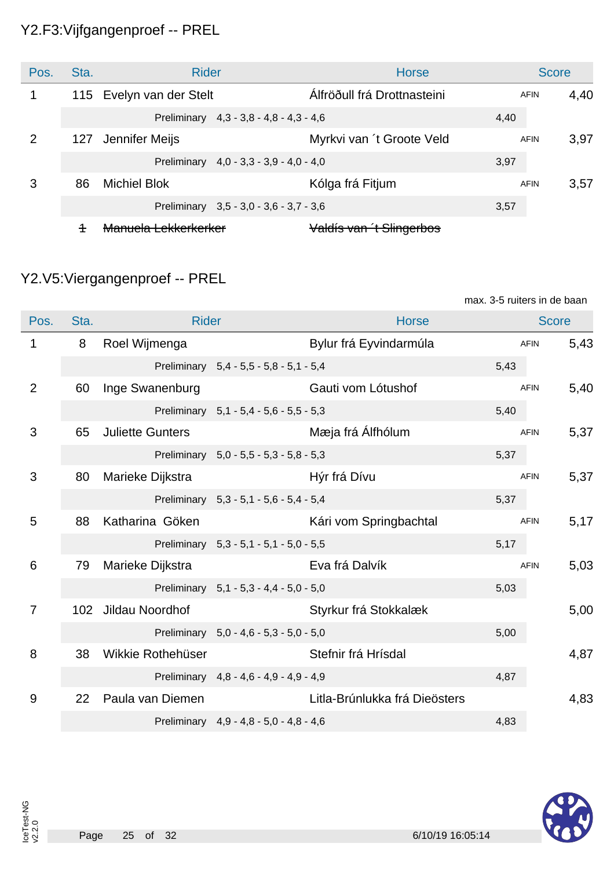### Y2.F3:Vijfgangenproef -- PREL

| Pos.          | Sta. | <b>Rider</b>                            | <b>Horse</b>                |             | <b>Score</b> |
|---------------|------|-----------------------------------------|-----------------------------|-------------|--------------|
|               |      | 115 Evelyn van der Stelt                | Álfröðull frá Drottnasteini | <b>AFIN</b> | 4,40         |
|               |      | Preliminary 4,3 - 3,8 - 4,8 - 4,3 - 4,6 |                             | 4,40        |              |
| $\mathcal{P}$ | 127  | Jennifer Meijs                          | Myrkvi van 't Groote Veld   | <b>AFIN</b> | 3,97         |
|               |      | Preliminary 4,0 - 3,3 - 3,9 - 4,0 - 4,0 |                             | 3,97        |              |
| 3             | 86   | <b>Michiel Blok</b>                     | Kólga frá Fitjum            | <b>AFIN</b> | 3,57         |
|               |      | Preliminary 3,5 - 3,0 - 3,6 - 3,7 - 3,6 |                             | 3,57        |              |
|               |      | <del>Manuela Lekkerkerker</del>         | Valdís van 't Slingerbos    |             |              |

### Y2.V5:Viergangenproef -- PREL

max. 3-5 ruiters in de baan

| Pos.           | Sta. | <b>Rider</b>            |                                         | <b>Horse</b>                  |             | <b>Score</b> |
|----------------|------|-------------------------|-----------------------------------------|-------------------------------|-------------|--------------|
| 1              | 8    | Roel Wijmenga           |                                         | Bylur frá Eyvindarmúla        | <b>AFIN</b> | 5,43         |
|                |      |                         | Preliminary 5,4 - 5,5 - 5,8 - 5,1 - 5,4 |                               | 5,43        |              |
| 2              | 60   | Inge Swanenburg         |                                         | Gauti vom Lótushof            | <b>AFIN</b> | 5,40         |
|                |      |                         | Preliminary 5,1 - 5,4 - 5,6 - 5,5 - 5,3 |                               | 5,40        |              |
| 3              | 65   | <b>Juliette Gunters</b> |                                         | Mæja frá Álfhólum             | <b>AFIN</b> | 5,37         |
|                |      |                         | Preliminary 5,0 - 5,5 - 5,3 - 5,8 - 5,3 |                               | 5,37        |              |
| 3              | 80   | Marieke Dijkstra        |                                         | Hýr frá Dívu                  | <b>AFIN</b> | 5,37         |
|                |      |                         | Preliminary 5,3 - 5,1 - 5,6 - 5,4 - 5,4 |                               | 5,37        |              |
| 5              | 88   | Katharina Göken         |                                         | Kári vom Springbachtal        | <b>AFIN</b> | 5,17         |
|                |      |                         | Preliminary 5,3 - 5,1 - 5,1 - 5,0 - 5,5 |                               | 5,17        |              |
| 6              | 79   | Marieke Dijkstra        |                                         | Eva frá Dalvík                | <b>AFIN</b> | 5,03         |
|                |      |                         | Preliminary 5,1 - 5,3 - 4,4 - 5,0 - 5,0 |                               | 5,03        |              |
| $\overline{7}$ |      | 102 Jildau Noordhof     |                                         | Styrkur frá Stokkalæk         |             | 5,00         |
|                |      |                         | Preliminary 5,0 - 4,6 - 5,3 - 5,0 - 5,0 |                               | 5,00        |              |
| 8              | 38   | Wikkie Rothehüser       |                                         | Stefnir frá Hrísdal           |             | 4,87         |
|                |      |                         | Preliminary 4,8 - 4,6 - 4,9 - 4,9 - 4,9 |                               | 4,87        |              |
| 9              | 22   | Paula van Diemen        |                                         | Litla-Brúnlukka frá Dieösters |             | 4,83         |
|                |      |                         | Preliminary 4,9 - 4,8 - 5,0 - 4,8 - 4,6 |                               | 4,83        |              |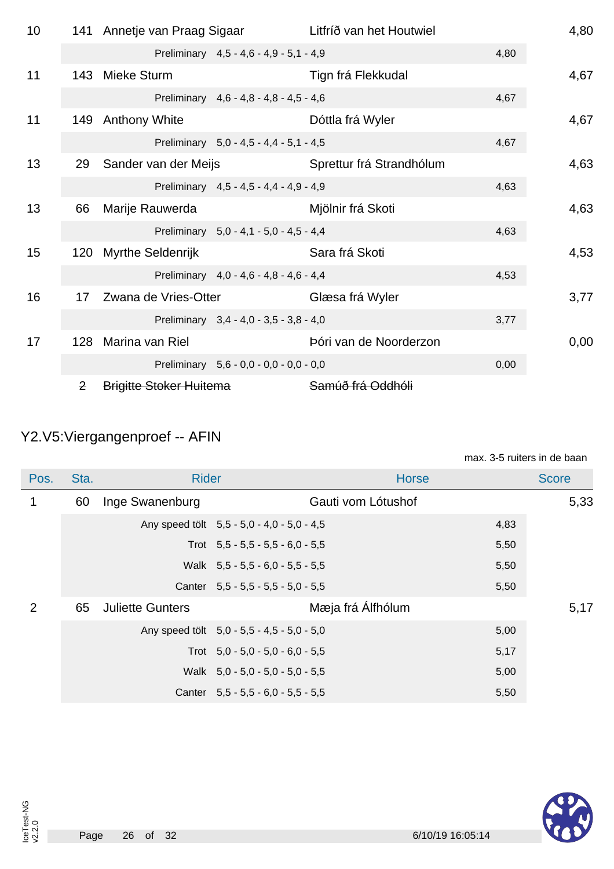| 10 |              | 141 Annetje van Praag Sigaar   |                                         | Litfríð van het Houtwiel |      | 4,80 |
|----|--------------|--------------------------------|-----------------------------------------|--------------------------|------|------|
|    |              |                                | Preliminary 4,5 - 4,6 - 4,9 - 5,1 - 4,9 |                          | 4,80 |      |
| 11 |              | 143 Mieke Sturm                |                                         | Tign frá Flekkudal       |      | 4,67 |
|    |              |                                | Preliminary 4,6 - 4,8 - 4,8 - 4,5 - 4,6 |                          | 4,67 |      |
| 11 |              | 149 Anthony White              |                                         | Dóttla frá Wyler         |      | 4,67 |
|    |              |                                | Preliminary 5,0 - 4,5 - 4,4 - 5,1 - 4,5 |                          | 4,67 |      |
| 13 | 29           | Sander van der Meijs           |                                         | Sprettur frá Strandhólum |      | 4,63 |
|    |              |                                | Preliminary 4,5 - 4,5 - 4,4 - 4,9 - 4,9 |                          | 4,63 |      |
| 13 | 66           | Marije Rauwerda                |                                         | Mjölnir frá Skoti        |      | 4,63 |
|    |              |                                | Preliminary 5,0 - 4,1 - 5,0 - 4,5 - 4,4 |                          | 4,63 |      |
| 15 |              | 120 Myrthe Seldenrijk          |                                         | Sara frá Skoti           |      | 4,53 |
|    |              |                                | Preliminary 4,0 - 4,6 - 4,8 - 4,6 - 4,4 |                          | 4,53 |      |
| 16 | 17           | Zwana de Vries-Otter           |                                         | Glæsa frá Wyler          |      | 3,77 |
|    |              |                                | Preliminary 3,4 - 4,0 - 3,5 - 3,8 - 4,0 |                          | 3,77 |      |
| 17 |              | 128 Marina van Riel            |                                         | Þóri van de Noorderzon   |      | 0,00 |
|    |              |                                | Preliminary 5,6 - 0,0 - 0,0 - 0,0 - 0,0 |                          | 0,00 |      |
|    | $\mathbf{P}$ | <b>Brigitte Stoker Huitema</b> |                                         | Samúð frá Oddhóli        |      |      |

# Y2.V5:Viergangenproef -- AFIN

|      |      |                         |                                            |                    | max. 3-5 ruiters in de baan |              |
|------|------|-------------------------|--------------------------------------------|--------------------|-----------------------------|--------------|
| Pos. | Sta. | <b>Rider</b>            |                                            | <b>Horse</b>       |                             | <b>Score</b> |
|      | 60   | Inge Swanenburg         |                                            | Gauti vom Lótushof |                             | 5,33         |
|      |      |                         | Any speed tölt 5,5 - 5,0 - 4,0 - 5,0 - 4,5 |                    | 4,83                        |              |
|      |      |                         | Trot $5,5 - 5,5 - 5,5 - 6,0 - 5,5$         |                    | 5,50                        |              |
|      |      |                         | Walk 5,5 - 5,5 - 6,0 - 5,5 - 5,5           |                    | 5,50                        |              |
|      |      |                         | Canter $5,5 - 5,5 - 5,5 - 5,0 - 5,5$       |                    | 5,50                        |              |
| 2    | 65   | <b>Juliette Gunters</b> |                                            | Mæja frá Álfhólum  |                             | 5,17         |
|      |      |                         | Any speed tölt 5,0 - 5,5 - 4,5 - 5,0 - 5,0 |                    | 5,00                        |              |
|      |      |                         | Trot $5.0 - 5.0 - 5.0 - 6.0 - 5.5$         |                    | 5,17                        |              |
|      |      |                         | Walk 5,0 - 5,0 - 5,0 - 5,0 - 5,5           |                    | 5,00                        |              |
|      |      |                         | Canter $5,5 - 5,5 - 6,0 - 5,5 - 5,5$       |                    | 5,50                        |              |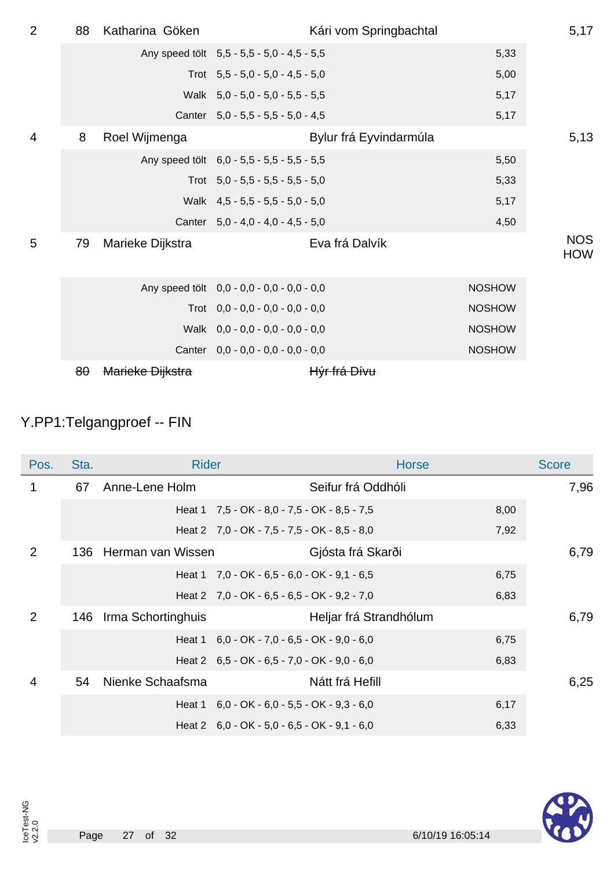| $\overline{2}$ | 88 | Katharina Göken  |                                            | Kári vom Springbachtal |               | 5,17                     |
|----------------|----|------------------|--------------------------------------------|------------------------|---------------|--------------------------|
|                |    |                  | Any speed tölt 5,5 - 5,5 - 5,0 - 4,5 - 5,5 |                        | 5,33          |                          |
|                |    |                  | Trot $5,5 - 5,0 - 5,0 - 4,5 - 5,0$         |                        | 5,00          |                          |
|                |    |                  | Walk 5,0 - 5,0 - 5,0 - 5,5 - 5,5           |                        | 5,17          |                          |
|                |    |                  | Canter 5,0 - 5,5 - 5,5 - 5,0 - 4,5         |                        | 5,17          |                          |
| $\overline{4}$ | 8  | Roel Wijmenga    |                                            | Bylur frá Eyvindarmúla |               | 5,13                     |
|                |    |                  | Any speed tölt 6,0 - 5,5 - 5,5 - 5,5 - 5,5 |                        | 5,50          |                          |
|                |    |                  | Trot $5,0 - 5,5 - 5,5 - 5,5 - 5,0$         |                        | 5,33          |                          |
|                |    |                  | Walk 4,5 - 5,5 - 5,5 - 5,0 - 5,0           |                        | 5,17          |                          |
|                |    |                  | Canter 5,0 - 4,0 - 4,0 - 4,5 - 5,0         |                        | 4,50          |                          |
| 5              | 79 | Marieke Dijkstra |                                            | Eva frá Dalvík         |               | <b>NOS</b><br><b>HOW</b> |
|                |    |                  | Any speed tölt 0,0 - 0,0 - 0,0 - 0,0 - 0,0 |                        | <b>NOSHOW</b> |                          |
|                |    |                  | Trot $0,0 - 0,0 - 0,0 - 0,0 - 0,0$         |                        | <b>NOSHOW</b> |                          |
|                |    |                  | Walk $0,0 - 0,0 - 0,0 - 0,0 - 0,0$         |                        | <b>NOSHOW</b> |                          |
|                |    |                  | Canter $0,0 - 0,0 - 0,0 - 0,0 - 0,0$       |                        | <b>NOSHOW</b> |                          |
|                | 80 | Marieke Dijkstra |                                            | Hýr frá Dívu           |               |                          |

### Y.PP1:Telgangproef -- FIN

| Pos.           | Sta. | <b>Rider</b>          |                                                      | <b>Horse</b>           |      | <b>Score</b> |
|----------------|------|-----------------------|------------------------------------------------------|------------------------|------|--------------|
| 1              | 67   | Anne-Lene Holm        |                                                      | Seifur frá Oddhóli     |      | 7,96         |
|                |      |                       | Heat 1 7,5 - OK - 8,0 - 7,5 - OK - 8,5 - 7,5         |                        | 8,00 |              |
|                |      |                       | Heat 2 7,0 - OK - 7,5 - 7,5 - OK - 8,5 - 8,0         |                        | 7,92 |              |
| 2              |      | 136 Herman van Wissen |                                                      | Gjósta frá Skarði      |      | 6,79         |
|                |      |                       | Heat 1 $7,0 - OK - 6,5 - 6,0 - OK - 9,1 - 6,5$       |                        | 6,75 |              |
|                |      |                       | Heat 2 7,0 - OK - 6,5 - 6,5 - OK - 9,2 - 7,0         |                        | 6,83 |              |
| 2              | 146  | Irma Schortinghuis    |                                                      | Heljar frá Strandhólum |      | 6,79         |
|                |      |                       | Heat $1 \quad 6.0 - OK - 7.0 - 6.5 - OK - 9.0 - 6.0$ |                        | 6,75 |              |
|                |      |                       | Heat 2 $6,5 - OK - 6,5 - 7,0 - OK - 9,0 - 6,0$       |                        | 6,83 |              |
| $\overline{4}$ | 54   | Nienke Schaafsma      |                                                      | Nátt frá Hefill        |      | 6,25         |
|                |      |                       | Heat $1 \quad 6,0 - OK - 6,0 - 5,5 - OK - 9,3 - 6,0$ |                        | 6,17 |              |
|                |      |                       | Heat 2 $6.0 - OK - 5.0 - 6.5 - OK - 9.1 - 6.0$       |                        | 6,33 |              |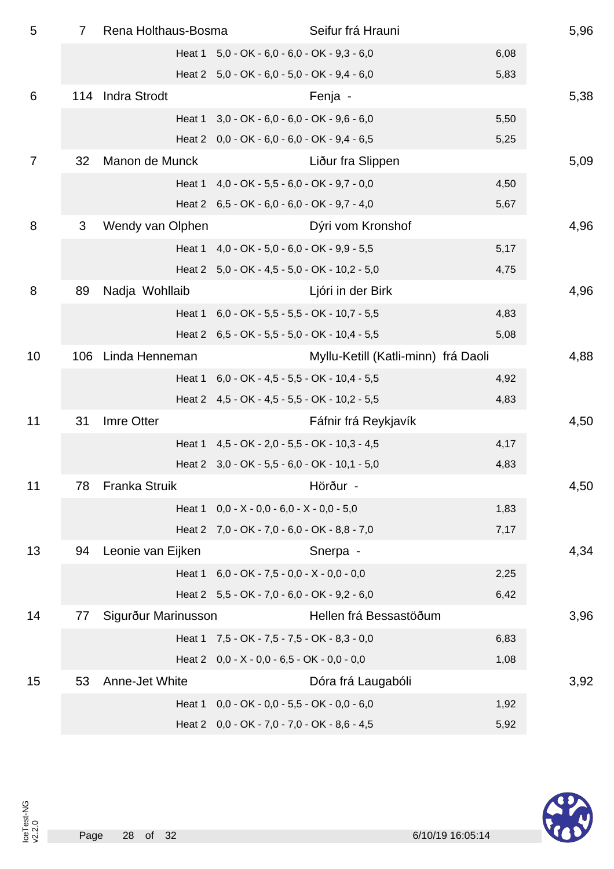| 5  | 7   | Rena Holthaus-Bosma |                                                    | Seifur frá Hrauni                   |      | 5,96 |
|----|-----|---------------------|----------------------------------------------------|-------------------------------------|------|------|
|    |     |                     | Heat 1 5,0 - OK - 6,0 - 6,0 - OK - 9,3 - 6,0       |                                     | 6,08 |      |
|    |     |                     | Heat 2 5,0 - OK - 6,0 - 5,0 - OK - 9,4 - 6,0       |                                     | 5,83 |      |
| 6  | 114 | <b>Indra Strodt</b> |                                                    | Fenja -                             |      | 5,38 |
|    |     |                     | Heat 1 3,0 - OK - 6,0 - 6,0 - OK - 9,6 - 6,0       |                                     | 5,50 |      |
|    |     |                     | Heat 2 0,0 - OK - 6,0 - 6,0 - OK - 9,4 - 6,5       |                                     | 5,25 |      |
| 7  | 32  | Manon de Munck      |                                                    | Liður fra Slippen                   |      | 5,09 |
|    |     | Heat 1              | $4,0 - OK - 5,5 - 6,0 - OK - 9,7 - 0,0$            |                                     | 4,50 |      |
|    |     |                     | Heat 2 6,5 - OK - 6,0 - 6,0 - OK - 9,7 - 4,0       |                                     | 5,67 |      |
| 8  | 3   | Wendy van Olphen    |                                                    | Dýri vom Kronshof                   |      | 4,96 |
|    |     |                     | Heat 1 4,0 - OK - 5,0 - 6,0 - OK - 9,9 - 5,5       |                                     | 5,17 |      |
|    |     |                     | Heat 2 5,0 - OK - 4,5 - 5,0 - OK - 10,2 - 5,0      |                                     | 4,75 |      |
| 8  | 89  | Nadja Wohllaib      |                                                    | Ljóri in der Birk                   |      | 4,96 |
|    |     |                     | Heat 1 6,0 - OK - 5,5 - 5,5 - OK - 10,7 - 5,5      |                                     | 4,83 |      |
|    |     |                     | Heat 2 6,5 - OK - 5,5 - 5,0 - OK - 10,4 - 5,5      |                                     | 5,08 |      |
| 10 | 106 | Linda Henneman      |                                                    | Myllu-Ketill (Katli-minn) frá Daoli |      | 4,88 |
|    |     |                     | Heat 1 6,0 - OK - 4,5 - 5,5 - OK - 10,4 - 5,5      |                                     | 4,92 |      |
|    |     |                     | Heat 2 4,5 - OK - 4,5 - 5,5 - OK - 10,2 - 5,5      |                                     | 4,83 |      |
| 11 | 31  | Imre Otter          |                                                    | Fáfnir frá Reykjavík                |      | 4,50 |
|    |     |                     | Heat 1 4,5 - OK - 2,0 - 5,5 - OK - 10,3 - 4,5      |                                     | 4,17 |      |
|    |     |                     | Heat 2 3,0 - OK - 5,5 - 6,0 - OK - 10,1 - 5,0      |                                     | 4,83 |      |
| 11 | 78  | Franka Struik       | <u>i se se estadounidade de Hörður -</u>           |                                     |      | 4,50 |
|    |     |                     | Heat $1 \quad 0.0 - X - 0.0 - 6.0 - X - 0.0 - 5.0$ |                                     | 1,83 |      |
|    |     |                     | Heat 2 7,0 - OK - 7,0 - 6,0 - OK - 8,8 - 7,0       |                                     | 7,17 |      |
| 13 | 94  | Leonie van Eijken   |                                                    | Snerpa -                            |      | 4,34 |
|    |     |                     | Heat 1 $6,0 - OK - 7,5 - 0,0 - X - 0,0 - 0,0$      |                                     | 2,25 |      |
|    |     |                     | Heat 2 5,5 - OK - 7,0 - 6,0 - OK - 9,2 - 6,0       |                                     | 6,42 |      |
| 14 | 77  | Sigurður Marinusson |                                                    | Hellen frá Bessastöðum              |      | 3,96 |
|    |     |                     | Heat 1 7,5 - OK - 7,5 - 7,5 - OK - 8,3 - 0,0       |                                     | 6,83 |      |
|    |     |                     | Heat 2 $0,0 - X - 0,0 - 6,5 - OK - 0,0 - 0,0$      |                                     | 1,08 |      |
| 15 | 53  | Anne-Jet White      |                                                    | Dóra frá Laugabóli                  |      | 3,92 |
|    |     | Heat 1              | $0,0 - OK - 0,0 - 5,5 - OK - 0,0 - 6,0$            |                                     | 1,92 |      |
|    |     |                     | Heat 2 0,0 - OK - 7,0 - 7,0 - OK - 8,6 - 4,5       |                                     | 5,92 |      |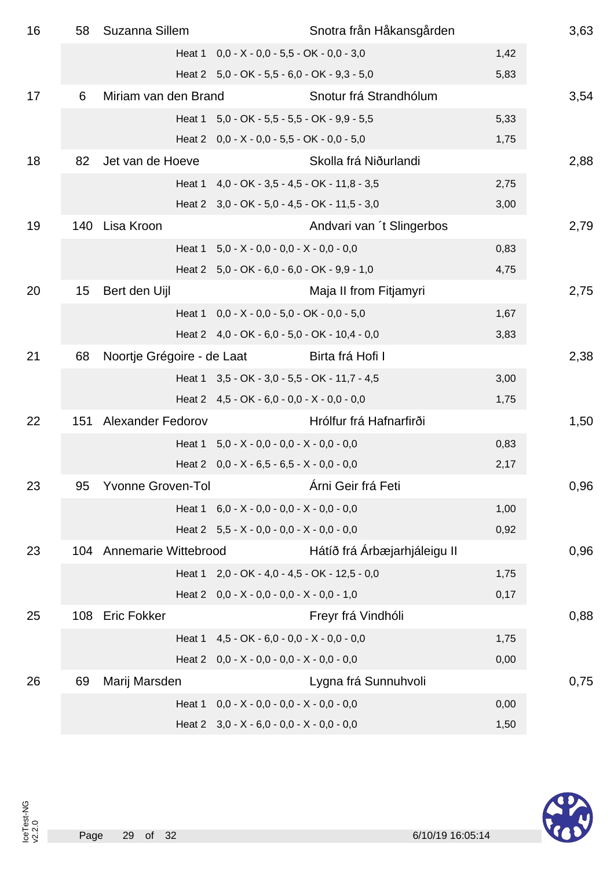| 16 | 58  | Suzanna Sillem                              |                                                     | Snotra från Håkansgården     |      | 3,63 |
|----|-----|---------------------------------------------|-----------------------------------------------------|------------------------------|------|------|
|    |     |                                             | Heat 1 0,0 - X - 0,0 - 5,5 - OK - 0,0 - 3,0         |                              | 1,42 |      |
|    |     |                                             | Heat 2 5,0 - OK - 5,5 - 6,0 - OK - 9,3 - 5,0        |                              | 5,83 |      |
| 17 | 6   | Miriam van den Brand                        |                                                     | Snotur frá Strandhólum       |      | 3,54 |
|    |     |                                             | Heat 1 5,0 - OK - 5,5 - 5,5 - OK - 9,9 - 5,5        |                              | 5,33 |      |
|    |     |                                             | Heat 2 $0,0 - X - 0,0 - 5,5 - OK - 0,0 - 5,0$       |                              | 1,75 |      |
| 18 | 82  | Jet van de Hoeve                            |                                                     | Skolla frá Niðurlandi        |      | 2,88 |
|    |     |                                             | Heat 1 4,0 - OK - 3,5 - 4,5 - OK - 11,8 - 3,5       |                              | 2,75 |      |
|    |     |                                             | Heat 2 3,0 - OK - 5,0 - 4,5 - OK - 11,5 - 3,0       |                              | 3,00 |      |
| 19 | 140 | Lisa Kroon                                  |                                                     | Andvari van 't Slingerbos    |      | 2,79 |
|    |     |                                             | Heat $1 \quad 5,0 - X - 0,0 - 0,0 - X - 0,0 - 0,0$  |                              | 0,83 |      |
|    |     |                                             | Heat 2 5,0 - OK - 6,0 - 6,0 - OK - 9,9 - 1,0        |                              | 4,75 |      |
| 20 | 15  | Bert den Uijl                               |                                                     | Maja II from Fitjamyri       |      | 2,75 |
|    |     |                                             | Heat $1 \quad 0.0 - X - 0.0 - 5.0 - OK - 0.0 - 5.0$ |                              | 1,67 |      |
|    |     |                                             | Heat 2 4,0 - OK - 6,0 - 5,0 - OK - 10,4 - 0,0       |                              | 3,83 |      |
| 21 | 68  | Noortje Grégoire - de Laat                  |                                                     | Birta frá Hofi I             |      | 2,38 |
|    |     |                                             | Heat 1 3,5 - OK - 3,0 - 5,5 - OK - 11,7 - 4,5       |                              | 3,00 |      |
|    |     |                                             | Heat 2 $4,5 - OK - 6,0 - 0,0 - X - 0,0 - 0,0$       |                              | 1,75 |      |
| 22 | 151 | <b>Alexander Fedorov</b>                    |                                                     | Hrólfur frá Hafnarfirði      |      | 1,50 |
|    |     |                                             | Heat $1 \quad 5.0 - X - 0.0 - 0.0 - X - 0.0 - 0.0$  |                              | 0,83 |      |
|    |     |                                             | Heat 2 $0,0 - X - 6,5 - 6,5 - X - 0,0 - 0,0$        |                              | 2,17 |      |
| 23 | 95  | Yvonne Groven-Tol <b>Armi</b> Geir frá Feti |                                                     |                              |      | 0,96 |
|    |     |                                             | Heat $1 \quad 6,0 - X - 0,0 - 0,0 - X - 0,0 - 0,0$  |                              | 1,00 |      |
|    |     |                                             | Heat 2 $5,5 - X - 0,0 - 0,0 - X - 0,0 - 0,0$        |                              | 0,92 |      |
| 23 | 104 | Annemarie Wittebrood                        |                                                     | Hátíð frá Árbæjarhjáleigu II |      | 0,96 |
|    |     |                                             | Heat 1 2,0 - OK - 4,0 - 4,5 - OK - 12,5 - 0,0       |                              | 1,75 |      |
|    |     |                                             | Heat 2 $0,0 - X - 0,0 - 0,0 - X - 0,0 - 1,0$        |                              | 0,17 |      |
| 25 | 108 | <b>Eric Fokker</b>                          |                                                     | Freyr frá Vindhóli           |      | 0,88 |
|    |     | Heat 1                                      | $4,5 - OK - 6,0 - 0,0 - X - 0,0 - 0,0$              |                              | 1,75 |      |
|    |     |                                             | Heat 2 $0,0 - X - 0,0 - 0,0 - X - 0,0 - 0,0$        |                              | 0,00 |      |
| 26 | 69  | Marij Marsden                               |                                                     | Lygna frá Sunnuhvoli         |      | 0,75 |
|    |     |                                             | Heat $1 \quad 0,0 - X - 0,0 - 0,0 - X - 0,0 - 0,0$  |                              | 0,00 |      |
|    |     |                                             | Heat 2 $3,0 - X - 6,0 - 0,0 - X - 0,0 - 0,0$        |                              | 1,50 |      |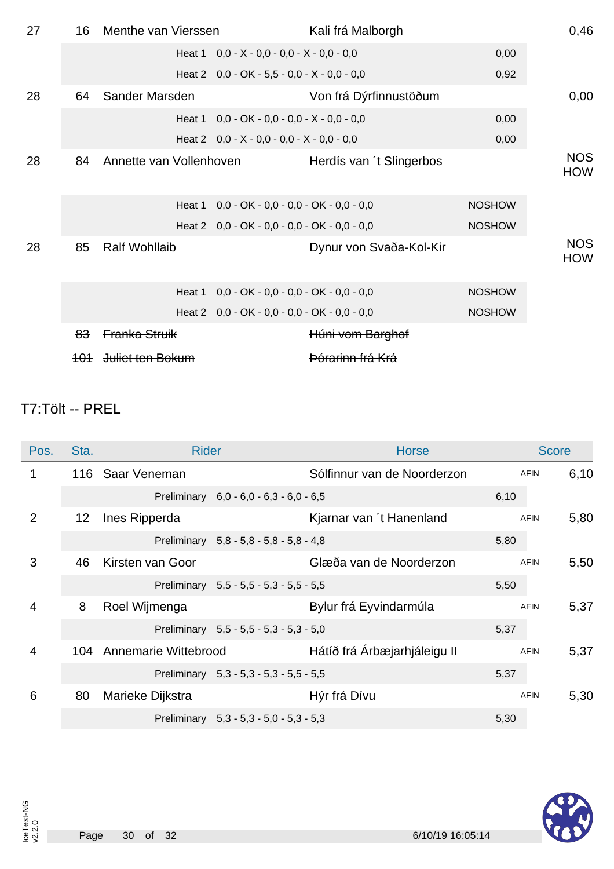| 27 | 16             | Menthe van Vierssen     |                                                | Kali frá Malborgh           |               | 0,46                     |
|----|----------------|-------------------------|------------------------------------------------|-----------------------------|---------------|--------------------------|
|    |                | Heat 1                  | $0,0 - X - 0,0 - 0,0 - X - 0,0 - 0,0$          |                             | 0,00          |                          |
|    |                |                         | Heat 2 $0,0 - OK - 5,5 - 0,0 - X - 0,0 - 0,0$  |                             | 0,92          |                          |
| 28 | 64             | Sander Marsden          |                                                | Von frá Dýrfinnustöðum      |               | 0,00                     |
|    |                | Heat 1                  | $0,0 - OK - 0,0 - 0,0 - X - 0,0 - 0,0$         |                             | 0,00          |                          |
|    |                |                         | Heat 2 $0,0 - X - 0,0 - 0,0 - X - 0,0 - 0,0$   |                             | 0,00          |                          |
| 28 | 84             | Annette van Vollenhoven |                                                | Herdís van 't Slingerbos    |               | <b>NOS</b><br><b>HOW</b> |
|    |                | Heat 1                  | $0,0 - OK - 0,0 - 0,0 - OK - 0,0 - 0,0$        |                             | <b>NOSHOW</b> |                          |
|    |                |                         | Heat 2 0,0 - OK - 0,0 - 0,0 - OK - 0,0 - 0,0   |                             | <b>NOSHOW</b> |                          |
| 28 | 85             | <b>Ralf Wohllaib</b>    |                                                | Dynur von Svaða-Kol-Kir     |               | <b>NOS</b><br><b>HOW</b> |
|    |                | Heat 1                  | $0,0 - OK - 0,0 - 0,0 - OK - 0,0 - 0,0$        |                             | <b>NOSHOW</b> |                          |
|    |                |                         | Heat 2 $0,0 - OK - 0,0 - 0,0 - OK - 0,0 - 0,0$ |                             | <b>NOSHOW</b> |                          |
|    | 83             | Franka Struik           |                                                | Húni vom Barghof            |               |                          |
|    | <del>101</del> | Juliet ten Bokum        |                                                | <del>Þórarinn frá Krá</del> |               |                          |

#### T7:Tölt -- PREL

| Pos.           | Sta.              | <b>Rider</b>             |                                         | <b>Horse</b>                 |      | <b>Score</b> |      |
|----------------|-------------------|--------------------------|-----------------------------------------|------------------------------|------|--------------|------|
| 1              |                   | 116 Saar Veneman         |                                         | Sólfinnur van de Noorderzon  |      | <b>AFIN</b>  | 6,10 |
|                |                   |                          | Preliminary 6,0 - 6,0 - 6,3 - 6,0 - 6,5 |                              | 6,10 |              |      |
| 2              | $12 \overline{ }$ | Ines Ripperda            |                                         | Kjarnar van 't Hanenland     |      | <b>AFIN</b>  | 5,80 |
|                |                   |                          | Preliminary 5,8 - 5,8 - 5,8 - 5,8 - 4,8 |                              | 5,80 |              |      |
| 3              | 46                | Kirsten van Goor         |                                         | Glæða van de Noorderzon      |      | <b>AFIN</b>  | 5,50 |
|                |                   |                          | Preliminary 5,5 - 5,5 - 5,3 - 5,5 - 5,5 |                              | 5,50 |              |      |
| $\overline{4}$ | 8                 | Roel Wijmenga            |                                         | Bylur frá Eyvindarmúla       |      | <b>AFIN</b>  | 5,37 |
|                |                   |                          | Preliminary 5,5 - 5,5 - 5,3 - 5,3 - 5,0 |                              | 5,37 |              |      |
| $\overline{4}$ |                   | 104 Annemarie Wittebrood |                                         | Hátíð frá Árbæjarhjáleigu II |      | <b>AFIN</b>  | 5,37 |
|                |                   |                          | Preliminary 5,3 - 5,3 - 5,3 - 5,5 - 5,5 |                              | 5,37 |              |      |
| 6              | 80                | Marieke Dijkstra         |                                         | Hýr frá Dívu                 |      | <b>AFIN</b>  | 5,30 |
|                |                   |                          | Preliminary 5,3 - 5,3 - 5,0 - 5,3 - 5,3 |                              | 5,30 |              |      |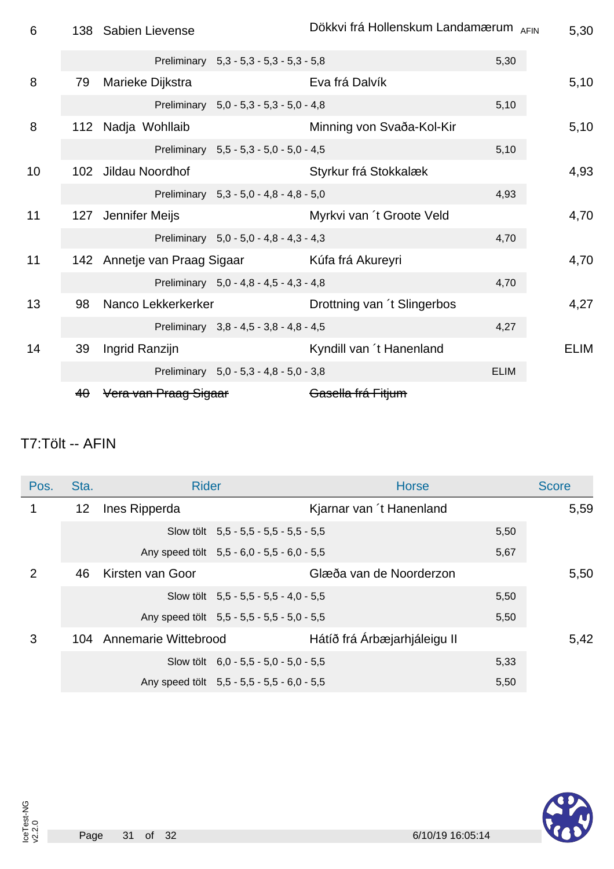| 6  |     | 138 Sabien Lievense                            |                                         | Dökkvi frá Hollenskum Landamærum AFIN |             | 5,30        |
|----|-----|------------------------------------------------|-----------------------------------------|---------------------------------------|-------------|-------------|
|    |     |                                                | Preliminary 5,3 - 5,3 - 5,3 - 5,3 - 5,8 |                                       | 5,30        |             |
| 8  | 79  | Marieke Dijkstra                               |                                         | Eva frá Dalvík                        |             | 5,10        |
|    |     |                                                | Preliminary 5,0 - 5,3 - 5,3 - 5,0 - 4,8 |                                       | 5,10        |             |
| 8  |     | 112 Nadja Wohllaib                             |                                         | Minning von Svaða-Kol-Kir             |             | 5,10        |
|    |     |                                                | Preliminary 5,5 - 5,3 - 5,0 - 5,0 - 4,5 |                                       | 5,10        |             |
| 10 |     | 102 Jildau Noordhof                            |                                         | Styrkur frá Stokkalæk                 |             | 4,93        |
|    |     |                                                | Preliminary 5,3 - 5,0 - 4,8 - 4,8 - 5,0 |                                       | 4,93        |             |
| 11 | 127 | Jennifer Meijs                                 |                                         | Myrkvi van 't Groote Veld             |             | 4,70        |
|    |     |                                                | Preliminary 5,0 - 5,0 - 4,8 - 4,3 - 4,3 |                                       | 4,70        |             |
| 11 |     | 142 Annetje van Praag Sigaar Kúfa frá Akureyri |                                         |                                       |             | 4,70        |
|    |     |                                                | Preliminary 5,0 - 4,8 - 4,5 - 4,3 - 4,8 |                                       | 4,70        |             |
| 13 | 98  | Nanco Lekkerkerker                             |                                         | Drottning van 't Slingerbos           |             | 4,27        |
|    |     |                                                | Preliminary 3,8 - 4,5 - 3,8 - 4,8 - 4,5 |                                       | 4,27        |             |
| 14 | 39  | Ingrid Ranzijn                                 |                                         | Kyndill van 't Hanenland              |             | <b>ELIM</b> |
|    |     |                                                | Preliminary 5,0 - 5,3 - 4,8 - 5,0 - 3,8 |                                       | <b>ELIM</b> |             |
|    |     | 40 Vera van Praag Sigaar                       |                                         | Gasella frá Fitjum                    |             |             |

#### T7:Tölt -- AFIN

| Pos. | Sta.            | <b>Rider</b>             |                                            | <b>Horse</b>                 |      | <b>Score</b> |
|------|-----------------|--------------------------|--------------------------------------------|------------------------------|------|--------------|
|      | 12 <sup>°</sup> | Ines Ripperda            |                                            | Kjarnar van 't Hanenland     |      | 5,59         |
|      |                 |                          | Slow tölt $5.5 - 5.5 - 5.5 - 5.5 - 5.5$    |                              | 5,50 |              |
|      |                 |                          | Any speed tolt 5,5 - 6,0 - 5,5 - 6,0 - 5,5 |                              | 5,67 |              |
| 2    | 46              | Kirsten van Goor         |                                            | Glæða van de Noorderzon      |      | 5,50         |
|      |                 |                          | Slow tölt 5,5 - 5,5 - 5,5 - 4,0 - 5,5      |                              | 5,50 |              |
|      |                 |                          | Any speed tolt 5,5 - 5,5 - 5,5 - 5,0 - 5,5 |                              | 5,50 |              |
| 3    |                 | 104 Annemarie Wittebrood |                                            | Hátíð frá Árbæjarhjáleigu II |      | 5,42         |
|      |                 |                          | Slow tölt $6.0 - 5.5 - 5.0 - 5.0 - 5.5$    |                              | 5,33 |              |
|      |                 |                          | Any speed tölt 5,5 - 5,5 - 5,5 - 6,0 - 5,5 |                              | 5,50 |              |